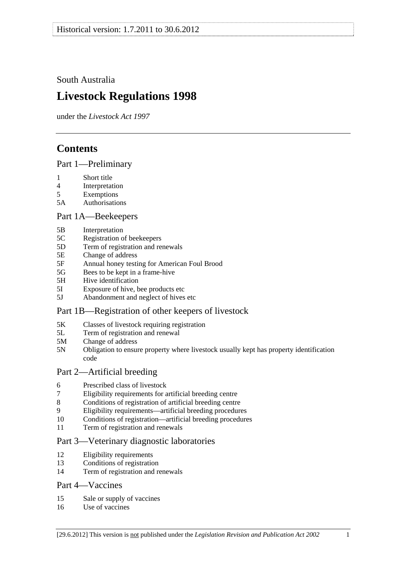<span id="page-0-0"></span>South Australia

# **Livestock Regulations 1998**

under the *Livestock Act 1997*

# **Contents**

[Part 1—Preliminary](#page-3-0)

- [1 Short title](#page-3-0)
- [4 Interpretation](#page-3-0)
- [5 Exemptions](#page-5-0)
- [5A Authorisations](#page-5-0)

## [Part 1A—Beekeepers](#page-6-0)

- [5B Interpretation](#page-6-0)
- [5C Registration of beekeepers](#page-6-0)
- [5D Term of registration and renewals](#page-6-0)
- [5E Change of address](#page-7-0)
- [5F Annual honey testing for American Foul Brood](#page-7-0)
- [5G Bees to be kept in a frame-hive](#page-8-0)
- [5H Hive identification](#page-8-0)
- [5I Exposure of hive, bee products etc](#page-9-0)
- [5J Abandonment and neglect of hives etc](#page-9-0)

## [Part 1B—Registration of other keepers of livestock](#page-10-0)

- [5K Classes of livestock requiring registration](#page-10-0)
- [5L Term of registration and renewal](#page-10-0)
- [5M Change of address](#page-11-0)
- [5N Obligation to ensure property where livestock usually kept has property identification](#page-11-0)  [code](#page-11-0)

## [Part 2—Artificial breeding](#page-11-0)

- [6 Prescribed class of livestock](#page-11-0)
- [7 Eligibility requirements for artificial breeding centre](#page-11-0)
- [8 Conditions of registration of artificial breeding centre](#page-12-0)
- [9 Eligibility requirements—artificial breeding procedures](#page-12-0)
- [10 Conditions of registration—artificial breeding procedures](#page-13-0)
- [11 Term of registration and renewals](#page-13-0)

## [Part 3—Veterinary diagnostic laboratories](#page-13-0)

- [12 Eligibility requirements](#page-13-0)
- [13 Conditions of registration](#page-14-0)
- [14 Term of registration and renewals](#page-14-0)

## [Part 4—Vaccines](#page-15-0)

- [15 Sale or supply of vaccines](#page-15-0)
- [16 Use of vaccines](#page-15-0)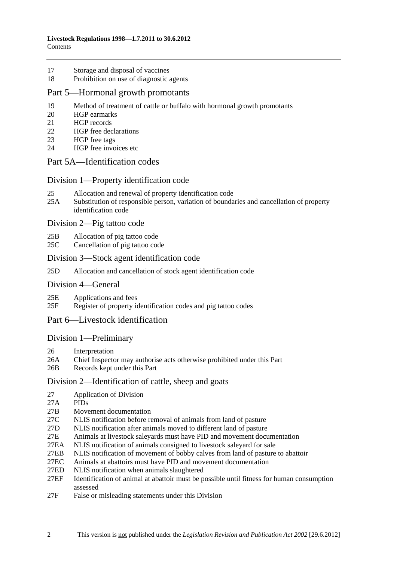- [17 Storage and disposal of vaccines](#page-15-0)
- [18 Prohibition on use of diagnostic agents](#page-15-0)

#### [Part 5—Hormonal growth promotants](#page-16-0)

- [19 Method of treatment of cattle or buffalo with hormonal growth promotants](#page-16-0)
- [20 HGP earmarks](#page-16-0)
- [21 HGP records](#page-16-0)
- [22 HGP free declarations](#page-17-0)
- [23 HGP free tags](#page-18-0)
- [24 HGP free invoices etc](#page-18-0)

### [Part 5A—Identification codes](#page-19-0)

#### [Division 1—Property identification code](#page-19-0)

- [25 Allocation and renewal of property identification code](#page-19-0)
- [25A Substitution of responsible person, variation of boundaries and cancellation of property](#page-20-0)  [identification code](#page-20-0)

[Division 2—Pig tattoo code](#page-20-0) 

- [25B Allocation of pig tattoo code](#page-20-0)
- [25C Cancellation of pig tattoo code](#page-20-0)

#### [Division 3—Stock agent identification code](#page-21-0)

[25D Allocation and cancellation of stock agent identification code](#page-21-0)

#### [Division 4—General](#page-21-0)

- [25E Applications and fees](#page-21-0)
- [25F Register of property identification codes and pig tattoo codes](#page-21-0)

## [Part 6—Livestock identification](#page-22-0)

#### [Division 1—Preliminary](#page-22-0)

- [26 Interpretation](#page-22-0)
- [26A Chief Inspector may authorise acts otherwise prohibited under this Part](#page-24-0)
- [26B Records kept under this Part](#page-25-0)

#### [Division 2—Identification of cattle, sheep and goats](#page-25-0)

- [27 Application of Division](#page-25-0)
- [27A PIDs](#page-25-0)
- [27B Movement documentation](#page-25-0)
- [27C NLIS notification before removal of animals from land of pasture](#page-28-0)
- [27D NLIS notification after animals moved to different land of pasture](#page-28-0)
- [27E Animals at livestock saleyards must have PID and movement documentation](#page-30-0)
- [27EA NLIS notification of animals consigned to livestock saleyard for sale](#page-31-0)
- [27EB NLIS notification of movement of bobby calves from land of pasture to abattoir](#page-34-0)
- [27EC Animals at abattoirs must have PID and movement documentation](#page-34-0)
- [27ED NLIS notification when animals slaughtered](#page-35-0)
- [27EF Identification of animal at abattoir must be possible until fitness for human consumption](#page-36-0)  [assessed](#page-36-0)
- [27F False or misleading statements under this Division](#page-36-0)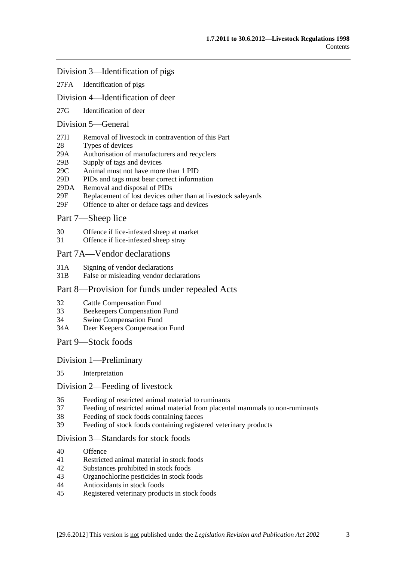#### [Division 3—Identification of pigs](#page-37-0)

[27FA Identification of pigs](#page-37-0)

### [Division 4—Identification of deer](#page-37-0)

[27G Identification of deer](#page-37-0) 

## [Division 5—General](#page-38-0)

- [27H Removal of livestock in contravention of this Part](#page-38-0)
- [28 Types of devices](#page-38-0)
- [29A Authorisation of manufacturers and recyclers](#page-38-0)
- [29B Supply of tags and devices](#page-38-0)
- [29C Animal must not have more than 1 PID](#page-39-0)
- [29D PIDs and tags must bear correct information](#page-39-0)
- [29DA Removal and disposal of PIDs](#page-39-0)
- [29E Replacement of lost devices other than at livestock saleyards](#page-40-0)
- [29F Offence to alter or deface tags and devices](#page-40-0)

## [Part 7—Sheep lice](#page-40-0)

- [30 Offence if lice-infested sheep at market](#page-40-0)
- [31 Offence if lice-infested sheep stray](#page-41-0)

#### [Part 7A—Vendor declarations](#page-41-0)

- [31A Signing of vendor declarations](#page-41-0)
- [31B False or misleading vendor declarations](#page-41-0)

#### [Part 8—Provision for funds under repealed Acts](#page-42-0)

- [32 Cattle Compensation Fund](#page-42-0)
- [33 Beekeepers Compensation Fund](#page-42-0)
- [34 Swine Compensation Fund](#page-42-0)
- [34A Deer Keepers Compensation Fund](#page-42-0)
- [Part 9—Stock foods](#page-42-0)

#### [Division 1—Preliminary](#page-42-0)

[35 Interpretation](#page-42-0) 

#### [Division 2—Feeding of livestock](#page-43-0)

- [36 Feeding of restricted animal material to ruminants](#page-43-0)
- [37 Feeding of restricted animal material from placental mammals to non-ruminants](#page-43-0)
- [38 Feeding of stock foods containing faeces](#page-43-0)
- [39 Feeding of stock foods containing registered veterinary products](#page-44-0)

#### [Division 3—Standards for stock foods](#page-44-0)

- [40 Offence](#page-44-0)
- [41 Restricted animal material in stock foods](#page-44-0)
- [42 Substances prohibited in stock foods](#page-44-0)
- [43 Organochlorine pesticides in stock foods](#page-44-0)
- [44 Antioxidants in stock foods](#page-44-0)
- [45 Registered veterinary products in stock foods](#page-45-0)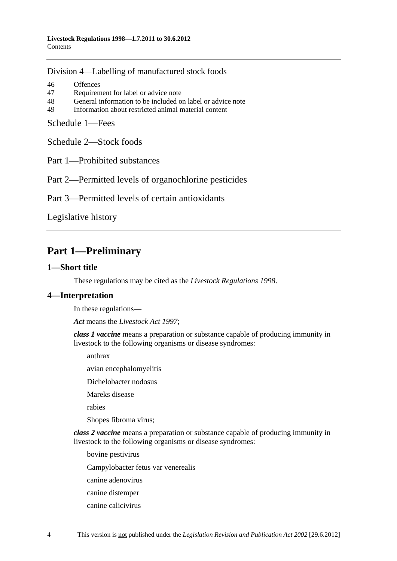<span id="page-3-0"></span>[Division 4—Labelling of manufactured stock foods](#page-45-0)

[46 Offences](#page-45-0) [47 Requirement for label or advice note](#page-45-0) [48 General information to be included on label or advice note](#page-46-0) [49 Information about restricted animal material content](#page-46-0) 

[Schedule 1—Fees](#page-46-0)

[Schedule 2—Stock foods](#page-47-0)

[Part 1—Prohibited substances](#page-0-0) 

[Part 2—Permitted levels of organochlorine pesticides](#page-0-0) 

[Part 3—Permitted levels of certain antioxidants](#page-0-0)

[Legislative history](#page-49-0) 

# **Part 1—Preliminary**

#### **1—Short title**

These regulations may be cited as the *Livestock Regulations 1998*.

## **4—Interpretation**

In these regulations—

*Act* means the *[Livestock Act 1997](http://www.legislation.sa.gov.au/index.aspx?action=legref&type=act&legtitle=Livestock%20Act%201997)*;

*class 1 vaccine* means a preparation or substance capable of producing immunity in livestock to the following organisms or disease syndromes:

anthrax

avian encephalomyelitis

Dichelobacter nodosus

Mareks disease

rabies

Shopes fibroma virus;

*class 2 vaccine* means a preparation or substance capable of producing immunity in livestock to the following organisms or disease syndromes:

bovine pestivirus

Campylobacter fetus var venerealis

canine adenovirus

- canine distemper
- canine calicivirus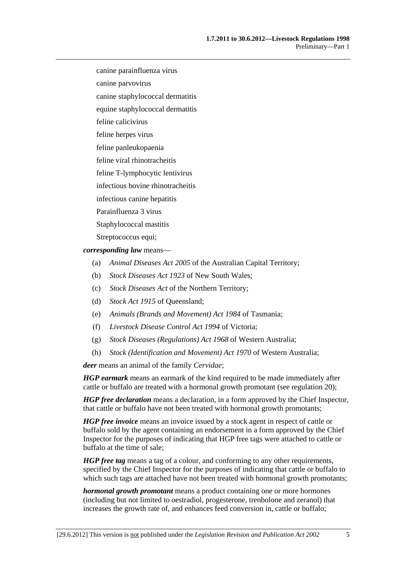canine parainfluenza virus

canine parvovirus

canine staphylococcal dermatitis

equine staphylococcal dermatitis

feline calicivirus

feline herpes virus

feline panleukopaenia

feline viral rhinotracheitis

feline T-lymphocytic lentivirus

infectious bovine rhinotracheitis

infectious canine hepatitis

Parainfluenza 3 virus

Staphylococcal mastitis

Streptococcus equi;

*corresponding law* means—

- (a) *Animal Diseases Act 2005* of the Australian Capital Territory;
- (b) *Stock Diseases Act 1923* of New South Wales;
- (c) *Stock Diseases Act* of the Northern Territory;
- (d) *Stock Act 1915* of Queensland;
- (e) *Animals (Brands and Movement) Act 1984* of Tasmania;
- (f) *Livestock Disease Control Act 1994* of Victoria;
- (g) *Stock Diseases (Regulations) Act 1968* of Western Australia;
- (h) *Stock (Identification and Movement) Act 1970* of Western Australia;

*deer* means an animal of the family *Cervidae*;

*HGP earmark* means an earmark of the kind required to be made immediately after cattle or buffalo are treated with a hormonal growth promotant (see [regulation 20](#page-16-0));

*HGP free declaration* means a declaration, in a form approved by the Chief Inspector, that cattle or buffalo have not been treated with hormonal growth promotants;

*HGP free invoice* means an invoice issued by a stock agent in respect of cattle or buffalo sold by the agent containing an endorsement in a form approved by the Chief Inspector for the purposes of indicating that HGP free tags were attached to cattle or buffalo at the time of sale;

*HGP free tag* means a tag of a colour, and conforming to any other requirements, specified by the Chief Inspector for the purposes of indicating that cattle or buffalo to which such tags are attached have not been treated with hormonal growth promotants;

*hormonal growth promotant* means a product containing one or more hormones (including but not limited to oestradiol, progesterone, trenbolone and zeranol) that increases the growth rate of, and enhances feed conversion in, cattle or buffalo;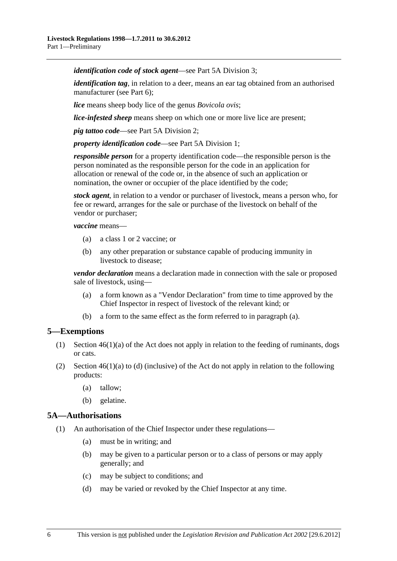<span id="page-5-0"></span>*identification code of stock agent*—see [Part 5A Division 3;](#page-21-0)

*identification tag*, in relation to a deer, means an ear tag obtained from an authorised manufacturer (see [Part 6](#page-22-0));

*lice* means sheep body lice of the genus *Bovicola ovis*;

*lice-infested sheep* means sheep on which one or more live lice are present;

*pig tattoo code*—see [Part 5A Division 2](#page-20-0);

*property identification code*—see [Part 5A Division 1;](#page-19-0)

*responsible person* for a property identification code—the responsible person is the person nominated as the responsible person for the code in an application for allocation or renewal of the code or, in the absence of such an application or nomination, the owner or occupier of the place identified by the code;

*stock agent*, in relation to a vendor or purchaser of livestock, means a person who, for fee or reward, arranges for the sale or purchase of the livestock on behalf of the vendor or purchaser;

*vaccine* means—

- (a) a class 1 or 2 vaccine; or
- (b) any other preparation or substance capable of producing immunity in livestock to disease;

*vendor declaration* means a declaration made in connection with the sale or proposed sale of livestock, using—

- (a) a form known as a "Vendor Declaration" from time to time approved by the Chief Inspector in respect of livestock of the relevant kind; or
- (b) a form to the same effect as the form referred to in [paragraph \(a\).](#page-5-0)

## **5—Exemptions**

- (1) Section 46(1)(a) of the Act does not apply in relation to the feeding of ruminants, dogs or cats.
- (2) Section  $46(1)(a)$  to (d) (inclusive) of the Act do not apply in relation to the following products:
	- (a) tallow;
	- (b) gelatine.

#### **5A—Authorisations**

- (1) An authorisation of the Chief Inspector under these regulations—
	- (a) must be in writing; and
	- (b) may be given to a particular person or to a class of persons or may apply generally; and
	- (c) may be subject to conditions; and
	- (d) may be varied or revoked by the Chief Inspector at any time.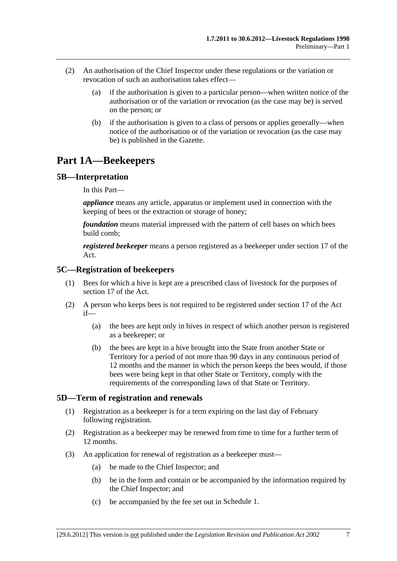- <span id="page-6-0"></span> (2) An authorisation of the Chief Inspector under these regulations or the variation or revocation of such an authorisation takes effect—
	- (a) if the authorisation is given to a particular person—when written notice of the authorisation or of the variation or revocation (as the case may be) is served on the person; or
	- (b) if the authorisation is given to a class of persons or applies generally—when notice of the authorisation or of the variation or revocation (as the case may be) is published in the Gazette.

# **Part 1A—Beekeepers**

## **5B—Interpretation**

In this Part—

*appliance* means any article, apparatus or implement used in connection with the keeping of bees or the extraction or storage of honey;

*foundation* means material impressed with the pattern of cell bases on which bees build comb;

*registered beekeeper* means a person registered as a beekeeper under section 17 of the Act.

#### **5C—Registration of beekeepers**

- (1) Bees for which a hive is kept are a prescribed class of livestock for the purposes of section 17 of the Act.
- (2) A person who keeps bees is not required to be registered under section 17 of the Act if—
	- (a) the bees are kept only in hives in respect of which another person is registered as a beekeeper; or
	- (b) the bees are kept in a hive brought into the State from another State or Territory for a period of not more than 90 days in any continuous period of 12 months and the manner in which the person keeps the bees would, if those bees were being kept in that other State or Territory, comply with the requirements of the corresponding laws of that State or Territory.

## **5D—Term of registration and renewals**

- (1) Registration as a beekeeper is for a term expiring on the last day of February following registration.
- (2) Registration as a beekeeper may be renewed from time to time for a further term of 12 months.
- (3) An application for renewal of registration as a beekeeper must—
	- (a) be made to the Chief Inspector; and
	- (b) be in the form and contain or be accompanied by the information required by the Chief Inspector; and
	- (c) be accompanied by the fee set out in [Schedule 1.](#page-46-0)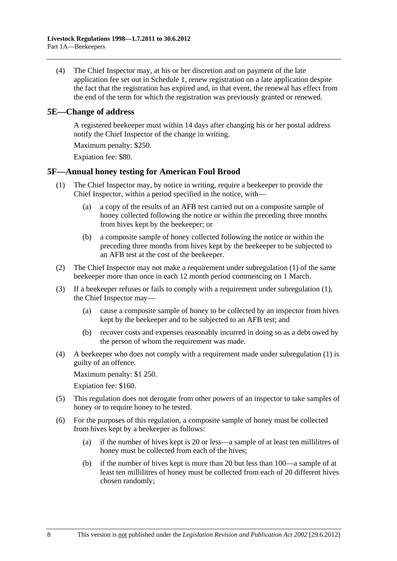<span id="page-7-0"></span> (4) The Chief Inspector may, at his or her discretion and on payment of the late application fee set out in [Schedule 1](#page-46-0), renew registration on a late application despite the fact that the registration has expired and, in that event, the renewal has effect from the end of the term for which the registration was previously granted or renewed.

#### **5E—Change of address**

A registered beekeeper must within 14 days after changing his or her postal address notify the Chief Inspector of the change in writing.

Maximum penalty: \$250.

Expiation fee: \$80.

## **5F—Annual honey testing for American Foul Brood**

- (1) The Chief Inspector may, by notice in writing, require a beekeeper to provide the Chief Inspector, within a period specified in the notice, with—
	- (a) a copy of the results of an AFB test carried out on a composite sample of honey collected following the notice or within the preceding three months from hives kept by the beekeeper; or
	- (b) a composite sample of honey collected following the notice or within the preceding three months from hives kept by the beekeeper to be subjected to an AFB test at the cost of the beekeeper.
- (2) The Chief Inspector may not make a requirement under [subregulation \(1\)](#page-7-0) of the same beekeeper more than once in each 12 month period commencing on 1 March.
- (3) If a beekeeper refuses or fails to comply with a requirement under [subregulation \(1\)](#page-7-0), the Chief Inspector may—
	- (a) cause a composite sample of honey to be collected by an inspector from hives kept by the beekeeper and to be subjected to an AFB test; and
	- (b) recover costs and expenses reasonably incurred in doing so as a debt owed by the person of whom the requirement was made.
- (4) A beekeeper who does not comply with a requirement made under [subregulation \(1\)](#page-7-0) is guilty of an offence.

Maximum penalty: \$1 250.

Expiation fee: \$160.

- (5) This regulation does not derogate from other powers of an inspector to take samples of honey or to require honey to be tested.
- (6) For the purposes of this regulation, a composite sample of honey must be collected from hives kept by a beekeeper as follows:
	- (a) if the number of hives kept is 20 or less—a sample of at least ten millilitres of honey must be collected from each of the hives;
	- (b) if the number of hives kept is more than 20 but less than 100—a sample of at least ten millilitres of honey must be collected from each of 20 different hives chosen randomly;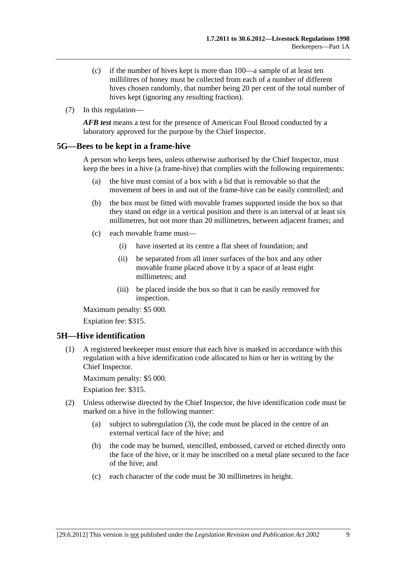- <span id="page-8-0"></span> (c) if the number of hives kept is more than 100—a sample of at least ten millilitres of honey must be collected from each of a number of different hives chosen randomly, that number being 20 per cent of the total number of hives kept (ignoring any resulting fraction).
- (7) In this regulation—

*AFB test* means a test for the presence of American Foul Brood conducted by a laboratory approved for the purpose by the Chief Inspector.

#### **5G—Bees to be kept in a frame-hive**

A person who keeps bees, unless otherwise authorised by the Chief Inspector, must keep the bees in a hive (a frame-hive) that complies with the following requirements:

- (a) the hive must consist of a box with a lid that is removable so that the movement of bees in and out of the frame-hive can be easily controlled; and
- (b) the box must be fitted with movable frames supported inside the box so that they stand on edge in a vertical position and there is an interval of at least six millimetres, but not more than 20 millimetres, between adjacent frames; and
- (c) each movable frame must—
	- (i) have inserted at its centre a flat sheet of foundation; and
	- (ii) be separated from all inner surfaces of the box and any other movable frame placed above it by a space of at least eight millimetres; and
	- (iii) be placed inside the box so that it can be easily removed for inspection.

Maximum penalty: \$5 000.

Expiation fee: \$315.

## **5H—Hive identification**

 (1) A registered beekeeper must ensure that each hive is marked in accordance with this regulation with a hive identification code allocated to him or her in writing by the Chief Inspector.

Maximum penalty: \$5 000.

- (2) Unless otherwise directed by the Chief Inspector, the hive identification code must be marked on a hive in the following manner:
	- (a) subject to [subregulation \(3\),](#page-9-0) the code must be placed in the centre of an external vertical face of the hive; and
	- (b) the code may be burned, stencilled, embossed, carved or etched directly onto the face of the hive, or it may be inscribed on a metal plate secured to the face of the hive; and
	- (c) each character of the code must be 30 millimetres in height.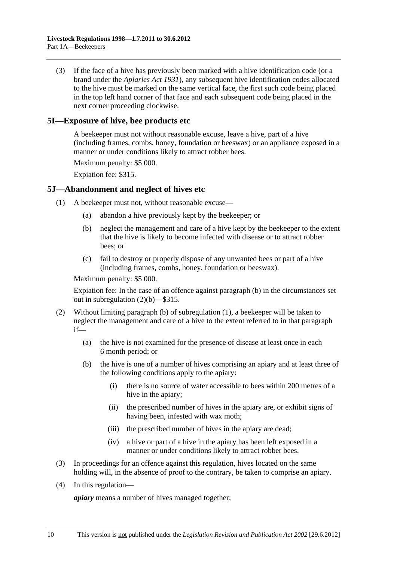<span id="page-9-0"></span> (3) If the face of a hive has previously been marked with a hive identification code (or a brand under the *[Apiaries Act 1931](http://www.legislation.sa.gov.au/index.aspx?action=legref&type=act&legtitle=Apiaries%20Act%201931)*), any subsequent hive identification codes allocated to the hive must be marked on the same vertical face, the first such code being placed in the top left hand corner of that face and each subsequent code being placed in the next corner proceeding clockwise.

### **5I—Exposure of hive, bee products etc**

A beekeeper must not without reasonable excuse, leave a hive, part of a hive (including frames, combs, honey, foundation or beeswax) or an appliance exposed in a manner or under conditions likely to attract robber bees.

Maximum penalty: \$5 000.

Expiation fee: \$315.

#### **5J—Abandonment and neglect of hives etc**

- (1) A beekeeper must not, without reasonable excuse—
	- (a) abandon a hive previously kept by the beekeeper; or
	- (b) neglect the management and care of a hive kept by the beekeeper to the extent that the hive is likely to become infected with disease or to attract robber bees; or
	- (c) fail to destroy or properly dispose of any unwanted bees or part of a hive (including frames, combs, honey, foundation or beeswax).

Maximum penalty: \$5 000.

Expiation fee: In the case of an offence against [paragraph \(b\)](#page-9-0) in the circumstances set out in [subregulation \(2\)\(b\)](#page-9-0)—\$315.

- (2) Without limiting [paragraph \(b\)](#page-9-0) of [subregulation \(1\),](#page-9-0) a beekeeper will be taken to neglect the management and care of a hive to the extent referred to in that paragraph if—
	- (a) the hive is not examined for the presence of disease at least once in each 6 month period; or
	- (b) the hive is one of a number of hives comprising an apiary and at least three of the following conditions apply to the apiary:
		- (i) there is no source of water accessible to bees within 200 metres of a hive in the apiary;
		- (ii) the prescribed number of hives in the apiary are, or exhibit signs of having been, infested with wax moth;
		- (iii) the prescribed number of hives in the apiary are dead;
		- (iv) a hive or part of a hive in the apiary has been left exposed in a manner or under conditions likely to attract robber bees.
- (3) In proceedings for an offence against this regulation, hives located on the same holding will, in the absence of proof to the contrary, be taken to comprise an apiary.
- (4) In this regulation—

*apiary* means a number of hives managed together;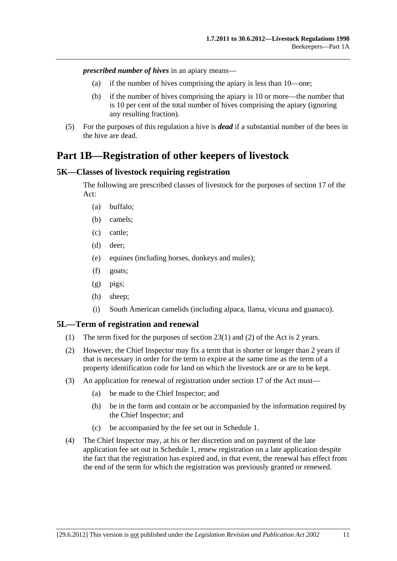<span id="page-10-0"></span>*prescribed number of hives* in an apiary means—

- (a) if the number of hives comprising the apiary is less than 10—one;
- (b) if the number of hives comprising the apiary is 10 or more—the number that is 10 per cent of the total number of hives comprising the apiary (ignoring any resulting fraction).
- (5) For the purposes of this regulation a hive is *dead* if a substantial number of the bees in the hive are dead.

# **Part 1B—Registration of other keepers of livestock**

#### **5K—Classes of livestock requiring registration**

The following are prescribed classes of livestock for the purposes of section 17 of the Act:

- (a) buffalo;
- (b) camels;
- (c) cattle;
- (d) deer;
- (e) equines (including horses, donkeys and mules);
- (f) goats;
- (g) pigs;
- (h) sheep;
- (i) South American camelids (including alpaca, llama, vicuna and guanaco).

#### **5L—Term of registration and renewal**

- (1) The term fixed for the purposes of section 23(1) and (2) of the Act is 2 years.
- (2) However, the Chief Inspector may fix a term that is shorter or longer than 2 years if that is necessary in order for the term to expire at the same time as the term of a property identification code for land on which the livestock are or are to be kept.
- (3) An application for renewal of registration under section 17 of the Act must—
	- (a) be made to the Chief Inspector; and
	- (b) be in the form and contain or be accompanied by the information required by the Chief Inspector; and
	- (c) be accompanied by the fee set out in [Schedule 1.](#page-46-0)
- (4) The Chief Inspector may, at his or her discretion and on payment of the late application fee set out in [Schedule 1,](#page-46-0) renew registration on a late application despite the fact that the registration has expired and, in that event, the renewal has effect from the end of the term for which the registration was previously granted or renewed.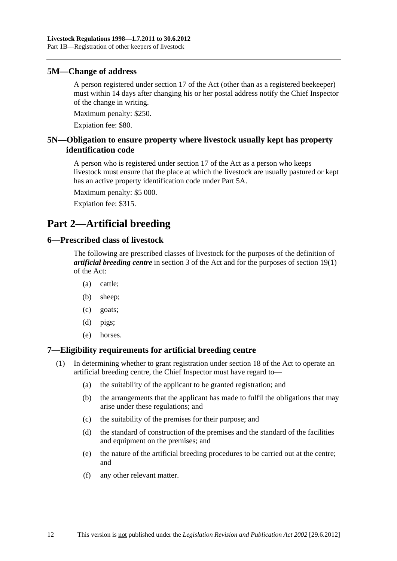#### <span id="page-11-0"></span>**5M—Change of address**

A person registered under section 17 of the Act (other than as a registered beekeeper) must within 14 days after changing his or her postal address notify the Chief Inspector of the change in writing.

Maximum penalty: \$250.

Expiation fee: \$80.

## **5N—Obligation to ensure property where livestock usually kept has property identification code**

A person who is registered under section 17 of the Act as a person who keeps livestock must ensure that the place at which the livestock are usually pastured or kept has an active property identification code under [Part 5A](#page-19-0).

Maximum penalty: \$5 000.

Expiation fee: \$315.

# **Part 2—Artificial breeding**

#### **6—Prescribed class of livestock**

The following are prescribed classes of livestock for the purposes of the definition of *artificial breeding centre* in section 3 of the Act and for the purposes of section 19(1) of the Act:

- (a) cattle;
- (b) sheep;
- (c) goats;
- (d) pigs;
- (e) horses.

## **7—Eligibility requirements for artificial breeding centre**

- (1) In determining whether to grant registration under section 18 of the Act to operate an artificial breeding centre, the Chief Inspector must have regard to—
	- (a) the suitability of the applicant to be granted registration; and
	- (b) the arrangements that the applicant has made to fulfil the obligations that may arise under these regulations; and
	- (c) the suitability of the premises for their purpose; and
	- (d) the standard of construction of the premises and the standard of the facilities and equipment on the premises; and
	- (e) the nature of the artificial breeding procedures to be carried out at the centre; and
	- (f) any other relevant matter.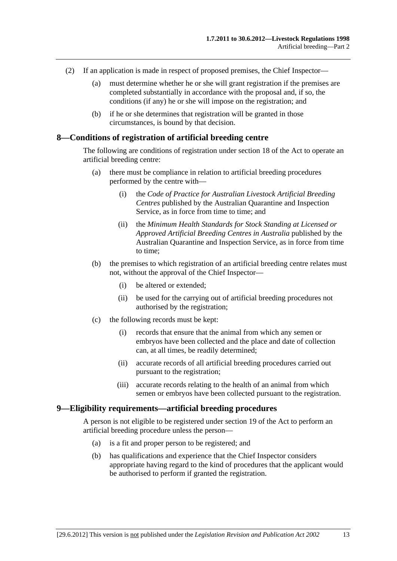- <span id="page-12-0"></span> (2) If an application is made in respect of proposed premises, the Chief Inspector—
	- (a) must determine whether he or she will grant registration if the premises are completed substantially in accordance with the proposal and, if so, the conditions (if any) he or she will impose on the registration; and
	- (b) if he or she determines that registration will be granted in those circumstances, is bound by that decision.

#### **8—Conditions of registration of artificial breeding centre**

The following are conditions of registration under section 18 of the Act to operate an artificial breeding centre:

- (a) there must be compliance in relation to artificial breeding procedures performed by the centre with—
	- (i) the *Code of Practice for Australian Livestock Artificial Breeding Centres* published by the Australian Quarantine and Inspection Service, as in force from time to time; and
	- (ii) the *Minimum Health Standards for Stock Standing at Licensed or Approved Artificial Breeding Centres in Australia* published by the Australian Quarantine and Inspection Service, as in force from time to time;
- (b) the premises to which registration of an artificial breeding centre relates must not, without the approval of the Chief Inspector—
	- (i) be altered or extended;
	- (ii) be used for the carrying out of artificial breeding procedures not authorised by the registration;
- (c) the following records must be kept:
	- (i) records that ensure that the animal from which any semen or embryos have been collected and the place and date of collection can, at all times, be readily determined;
	- (ii) accurate records of all artificial breeding procedures carried out pursuant to the registration;
	- (iii) accurate records relating to the health of an animal from which semen or embryos have been collected pursuant to the registration.

#### **9—Eligibility requirements—artificial breeding procedures**

A person is not eligible to be registered under section 19 of the Act to perform an artificial breeding procedure unless the person—

- (a) is a fit and proper person to be registered; and
- (b) has qualifications and experience that the Chief Inspector considers appropriate having regard to the kind of procedures that the applicant would be authorised to perform if granted the registration.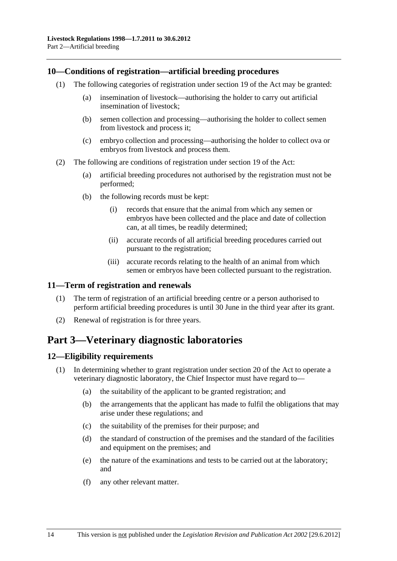### <span id="page-13-0"></span>**10—Conditions of registration—artificial breeding procedures**

- (1) The following categories of registration under section 19 of the Act may be granted:
	- (a) insemination of livestock—authorising the holder to carry out artificial insemination of livestock;
	- (b) semen collection and processing—authorising the holder to collect semen from livestock and process it;
	- (c) embryo collection and processing—authorising the holder to collect ova or embryos from livestock and process them.
- (2) The following are conditions of registration under section 19 of the Act:
	- (a) artificial breeding procedures not authorised by the registration must not be performed;
	- (b) the following records must be kept:
		- (i) records that ensure that the animal from which any semen or embryos have been collected and the place and date of collection can, at all times, be readily determined;
		- (ii) accurate records of all artificial breeding procedures carried out pursuant to the registration;
		- (iii) accurate records relating to the health of an animal from which semen or embryos have been collected pursuant to the registration.

## **11—Term of registration and renewals**

- (1) The term of registration of an artificial breeding centre or a person authorised to perform artificial breeding procedures is until 30 June in the third year after its grant.
- (2) Renewal of registration is for three years.

## **Part 3—Veterinary diagnostic laboratories**

## **12—Eligibility requirements**

- (1) In determining whether to grant registration under section 20 of the Act to operate a veterinary diagnostic laboratory, the Chief Inspector must have regard to—
	- (a) the suitability of the applicant to be granted registration; and
	- (b) the arrangements that the applicant has made to fulfil the obligations that may arise under these regulations; and
	- (c) the suitability of the premises for their purpose; and
	- (d) the standard of construction of the premises and the standard of the facilities and equipment on the premises; and
	- (e) the nature of the examinations and tests to be carried out at the laboratory; and
	- (f) any other relevant matter.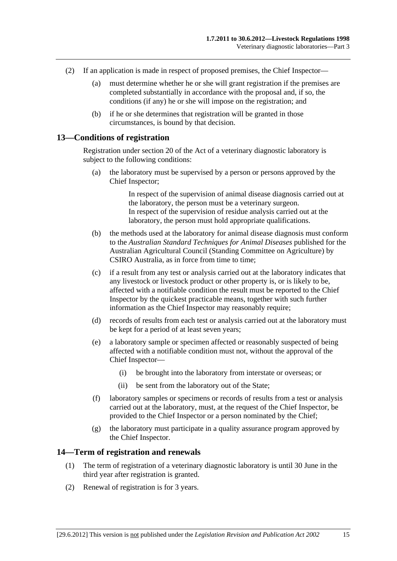- <span id="page-14-0"></span> (2) If an application is made in respect of proposed premises, the Chief Inspector—
	- (a) must determine whether he or she will grant registration if the premises are completed substantially in accordance with the proposal and, if so, the conditions (if any) he or she will impose on the registration; and
	- (b) if he or she determines that registration will be granted in those circumstances, is bound by that decision.

#### **13—Conditions of registration**

Registration under section 20 of the Act of a veterinary diagnostic laboratory is subject to the following conditions:

 (a) the laboratory must be supervised by a person or persons approved by the Chief Inspector;

> In respect of the supervision of animal disease diagnosis carried out at the laboratory, the person must be a veterinary surgeon. In respect of the supervision of residue analysis carried out at the laboratory, the person must hold appropriate qualifications.

- (b) the methods used at the laboratory for animal disease diagnosis must conform to the *Australian Standard Techniques for Animal Diseases* published for the Australian Agricultural Council (Standing Committee on Agriculture) by CSIRO Australia, as in force from time to time;
- (c) if a result from any test or analysis carried out at the laboratory indicates that any livestock or livestock product or other property is, or is likely to be, affected with a notifiable condition the result must be reported to the Chief Inspector by the quickest practicable means, together with such further information as the Chief Inspector may reasonably require;
- (d) records of results from each test or analysis carried out at the laboratory must be kept for a period of at least seven years;
- (e) a laboratory sample or specimen affected or reasonably suspected of being affected with a notifiable condition must not, without the approval of the Chief Inspector—
	- (i) be brought into the laboratory from interstate or overseas; or
	- (ii) be sent from the laboratory out of the State;
- (f) laboratory samples or specimens or records of results from a test or analysis carried out at the laboratory, must, at the request of the Chief Inspector, be provided to the Chief Inspector or a person nominated by the Chief;
- (g) the laboratory must participate in a quality assurance program approved by the Chief Inspector.

#### **14—Term of registration and renewals**

- (1) The term of registration of a veterinary diagnostic laboratory is until 30 June in the third year after registration is granted.
- (2) Renewal of registration is for 3 years.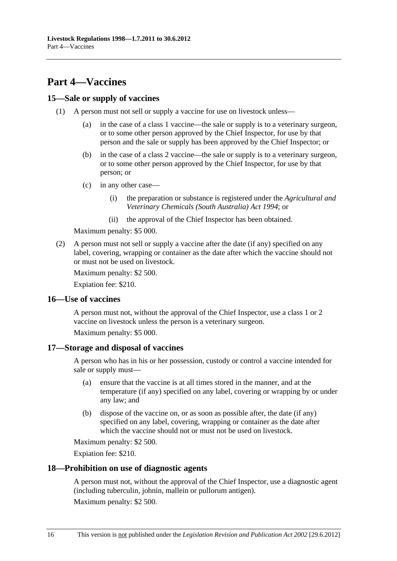# <span id="page-15-0"></span>**Part 4—Vaccines**

### **15—Sale or supply of vaccines**

- (1) A person must not sell or supply a vaccine for use on livestock unless—
	- (a) in the case of a class 1 vaccine—the sale or supply is to a veterinary surgeon, or to some other person approved by the Chief Inspector, for use by that person and the sale or supply has been approved by the Chief Inspector; or
	- (b) in the case of a class 2 vaccine—the sale or supply is to a veterinary surgeon, or to some other person approved by the Chief Inspector, for use by that person; or
	- (c) in any other case—
		- (i) the preparation or substance is registered under the *[Agricultural and](http://www.legislation.sa.gov.au/index.aspx?action=legref&type=act&legtitle=Agricultural%20and%20Veterinary%20Chemicals%20(South%20Australia)%20Act%201994)  [Veterinary Chemicals \(South Australia\) Act 1994](http://www.legislation.sa.gov.au/index.aspx?action=legref&type=act&legtitle=Agricultural%20and%20Veterinary%20Chemicals%20(South%20Australia)%20Act%201994)*; or
		- (ii) the approval of the Chief Inspector has been obtained.

Maximum penalty: \$5 000.

 (2) A person must not sell or supply a vaccine after the date (if any) specified on any label, covering, wrapping or container as the date after which the vaccine should not or must not be used on livestock.

Maximum penalty: \$2 500.

Expiation fee: \$210.

#### **16—Use of vaccines**

A person must not, without the approval of the Chief Inspector, use a class 1 or 2 vaccine on livestock unless the person is a veterinary surgeon.

Maximum penalty: \$5 000.

#### **17—Storage and disposal of vaccines**

A person who has in his or her possession, custody or control a vaccine intended for sale or supply must—

- (a) ensure that the vaccine is at all times stored in the manner, and at the temperature (if any) specified on any label, covering or wrapping by or under any law; and
- (b) dispose of the vaccine on, or as soon as possible after, the date (if any) specified on any label, covering, wrapping or container as the date after which the vaccine should not or must not be used on livestock.

Maximum penalty: \$2 500.

Expiation fee: \$210.

#### **18—Prohibition on use of diagnostic agents**

A person must not, without the approval of the Chief Inspector, use a diagnostic agent (including tuberculin, johnin, mallein or pullorum antigen).

Maximum penalty: \$2 500.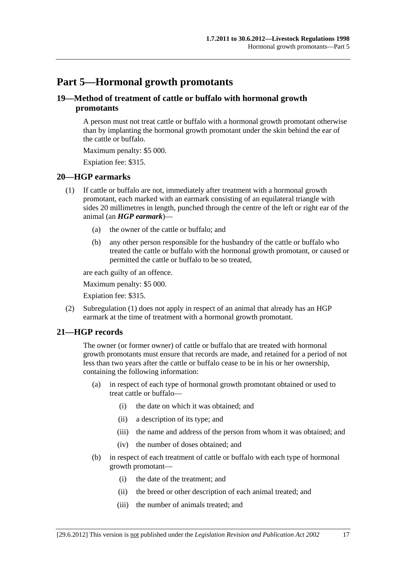# <span id="page-16-0"></span>**Part 5—Hormonal growth promotants**

## **19—Method of treatment of cattle or buffalo with hormonal growth promotants**

A person must not treat cattle or buffalo with a hormonal growth promotant otherwise than by implanting the hormonal growth promotant under the skin behind the ear of the cattle or buffalo.

Maximum penalty: \$5 000.

Expiation fee: \$315.

#### **20—HGP earmarks**

- (1) If cattle or buffalo are not, immediately after treatment with a hormonal growth promotant, each marked with an earmark consisting of an equilateral triangle with sides 20 millimetres in length, punched through the centre of the left or right ear of the animal (an *HGP earmark*)—
	- (a) the owner of the cattle or buffalo; and
	- (b) any other person responsible for the husbandry of the cattle or buffalo who treated the cattle or buffalo with the hormonal growth promotant, or caused or permitted the cattle or buffalo to be so treated,

are each guilty of an offence.

Maximum penalty: \$5 000.

Expiation fee: \$315.

 (2) [Subregulation \(1\)](#page-16-0) does not apply in respect of an animal that already has an HGP earmark at the time of treatment with a hormonal growth promotant.

## **21—HGP records**

The owner (or former owner) of cattle or buffalo that are treated with hormonal growth promotants must ensure that records are made, and retained for a period of not less than two years after the cattle or buffalo cease to be in his or her ownership, containing the following information:

- (a) in respect of each type of hormonal growth promotant obtained or used to treat cattle or buffalo—
	- (i) the date on which it was obtained; and
	- (ii) a description of its type; and
	- (iii) the name and address of the person from whom it was obtained; and
	- (iv) the number of doses obtained; and
- (b) in respect of each treatment of cattle or buffalo with each type of hormonal growth promotant—
	- (i) the date of the treatment; and
	- (ii) the breed or other description of each animal treated; and
	- (iii) the number of animals treated; and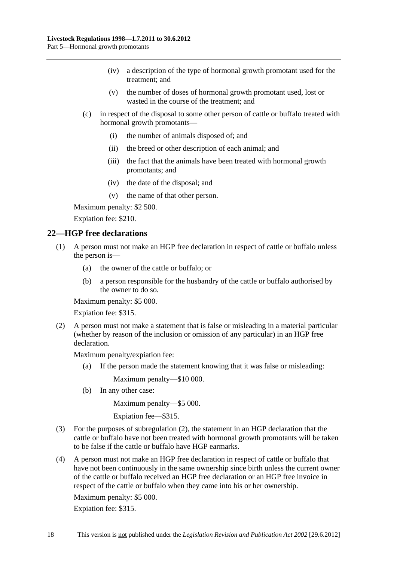- <span id="page-17-0"></span> (iv) a description of the type of hormonal growth promotant used for the treatment; and
- (v) the number of doses of hormonal growth promotant used, lost or wasted in the course of the treatment; and
- (c) in respect of the disposal to some other person of cattle or buffalo treated with hormonal growth promotants—
	- (i) the number of animals disposed of; and
	- (ii) the breed or other description of each animal; and
	- (iii) the fact that the animals have been treated with hormonal growth promotants; and
	- (iv) the date of the disposal; and
	- (v) the name of that other person.

Maximum penalty: \$2 500.

Expiation fee: \$210.

#### **22—HGP free declarations**

- (1) A person must not make an HGP free declaration in respect of cattle or buffalo unless the person is—
	- (a) the owner of the cattle or buffalo; or
	- (b) a person responsible for the husbandry of the cattle or buffalo authorised by the owner to do so.

Maximum penalty: \$5 000.

Expiation fee: \$315.

 (2) A person must not make a statement that is false or misleading in a material particular (whether by reason of the inclusion or omission of any particular) in an HGP free declaration.

Maximum penalty/expiation fee:

(a) If the person made the statement knowing that it was false or misleading:

Maximum penalty—\$10 000.

(b) In any other case:

Maximum penalty—\$5 000.

Expiation fee—\$315.

- (3) For the purposes of [subregulation \(2\),](#page-17-0) the statement in an HGP declaration that the cattle or buffalo have not been treated with hormonal growth promotants will be taken to be false if the cattle or buffalo have HGP earmarks.
- (4) A person must not make an HGP free declaration in respect of cattle or buffalo that have not been continuously in the same ownership since birth unless the current owner of the cattle or buffalo received an HGP free declaration or an HGP free invoice in respect of the cattle or buffalo when they came into his or her ownership.

Maximum penalty: \$5 000.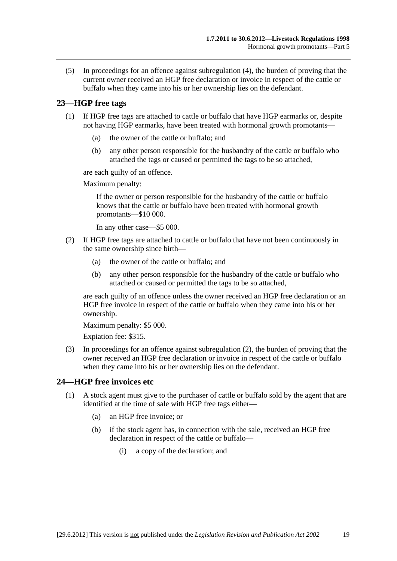<span id="page-18-0"></span> (5) In proceedings for an offence against [subregulation \(4\)](#page-17-0), the burden of proving that the current owner received an HGP free declaration or invoice in respect of the cattle or buffalo when they came into his or her ownership lies on the defendant.

## **23—HGP free tags**

- (1) If HGP free tags are attached to cattle or buffalo that have HGP earmarks or, despite not having HGP earmarks, have been treated with hormonal growth promotants—
	- (a) the owner of the cattle or buffalo; and
	- (b) any other person responsible for the husbandry of the cattle or buffalo who attached the tags or caused or permitted the tags to be so attached,

are each guilty of an offence.

Maximum penalty:

If the owner or person responsible for the husbandry of the cattle or buffalo knows that the cattle or buffalo have been treated with hormonal growth promotants—\$10 000.

In any other case—\$5 000.

- (2) If HGP free tags are attached to cattle or buffalo that have not been continuously in the same ownership since birth—
	- (a) the owner of the cattle or buffalo; and
	- (b) any other person responsible for the husbandry of the cattle or buffalo who attached or caused or permitted the tags to be so attached,

are each guilty of an offence unless the owner received an HGP free declaration or an HGP free invoice in respect of the cattle or buffalo when they came into his or her ownership.

Maximum penalty: \$5 000.

Expiation fee: \$315.

 (3) In proceedings for an offence against [subregulation \(2\)](#page-18-0), the burden of proving that the owner received an HGP free declaration or invoice in respect of the cattle or buffalo when they came into his or her ownership lies on the defendant.

## **24—HGP free invoices etc**

- (1) A stock agent must give to the purchaser of cattle or buffalo sold by the agent that are identified at the time of sale with HGP free tags either—
	- (a) an HGP free invoice; or
	- (b) if the stock agent has, in connection with the sale, received an HGP free declaration in respect of the cattle or buffalo—
		- (i) a copy of the declaration; and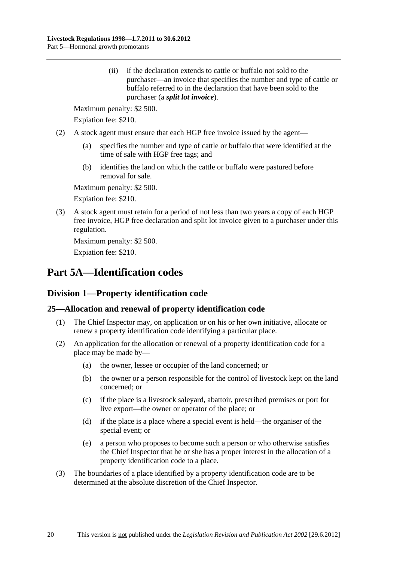<span id="page-19-0"></span> (ii) if the declaration extends to cattle or buffalo not sold to the purchaser—an invoice that specifies the number and type of cattle or buffalo referred to in the declaration that have been sold to the purchaser (a *split lot invoice*).

Maximum penalty: \$2 500.

Expiation fee: \$210.

- (2) A stock agent must ensure that each HGP free invoice issued by the agent—
	- (a) specifies the number and type of cattle or buffalo that were identified at the time of sale with HGP free tags; and
	- (b) identifies the land on which the cattle or buffalo were pastured before removal for sale.

Maximum penalty: \$2 500.

Expiation fee: \$210.

 (3) A stock agent must retain for a period of not less than two years a copy of each HGP free invoice, HGP free declaration and split lot invoice given to a purchaser under this regulation.

Maximum penalty: \$2 500.

Expiation fee: \$210.

# **Part 5A—Identification codes**

## **Division 1—Property identification code**

## **25—Allocation and renewal of property identification code**

- (1) The Chief Inspector may, on application or on his or her own initiative, allocate or renew a property identification code identifying a particular place.
- (2) An application for the allocation or renewal of a property identification code for a place may be made by—
	- (a) the owner, lessee or occupier of the land concerned; or
	- (b) the owner or a person responsible for the control of livestock kept on the land concerned; or
	- (c) if the place is a livestock saleyard, abattoir, prescribed premises or port for live export—the owner or operator of the place; or
	- (d) if the place is a place where a special event is held—the organiser of the special event; or
	- (e) a person who proposes to become such a person or who otherwise satisfies the Chief Inspector that he or she has a proper interest in the allocation of a property identification code to a place.
- (3) The boundaries of a place identified by a property identification code are to be determined at the absolute discretion of the Chief Inspector.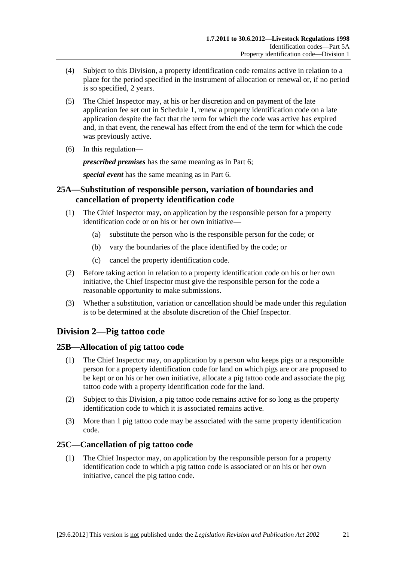- <span id="page-20-0"></span> (4) Subject to this Division, a property identification code remains active in relation to a place for the period specified in the instrument of allocation or renewal or, if no period is so specified, 2 years.
- (5) The Chief Inspector may, at his or her discretion and on payment of the late application fee set out in [Schedule 1,](#page-46-0) renew a property identification code on a late application despite the fact that the term for which the code was active has expired and, in that event, the renewal has effect from the end of the term for which the code was previously active.
- (6) In this regulation—

*prescribed premises* has the same meaning as in [Part 6;](#page-22-0)

*special event* has the same meaning as in [Part 6.](#page-22-0)

## **25A—Substitution of responsible person, variation of boundaries and cancellation of property identification code**

- (1) The Chief Inspector may, on application by the responsible person for a property identification code or on his or her own initiative—
	- (a) substitute the person who is the responsible person for the code; or
	- (b) vary the boundaries of the place identified by the code; or
	- (c) cancel the property identification code.
- (2) Before taking action in relation to a property identification code on his or her own initiative, the Chief Inspector must give the responsible person for the code a reasonable opportunity to make submissions.
- (3) Whether a substitution, variation or cancellation should be made under this regulation is to be determined at the absolute discretion of the Chief Inspector.

## **Division 2—Pig tattoo code**

## **25B—Allocation of pig tattoo code**

- (1) The Chief Inspector may, on application by a person who keeps pigs or a responsible person for a property identification code for land on which pigs are or are proposed to be kept or on his or her own initiative, allocate a pig tattoo code and associate the pig tattoo code with a property identification code for the land.
- (2) Subject to this Division, a pig tattoo code remains active for so long as the property identification code to which it is associated remains active.
- (3) More than 1 pig tattoo code may be associated with the same property identification code.

## **25C—Cancellation of pig tattoo code**

 (1) The Chief Inspector may, on application by the responsible person for a property identification code to which a pig tattoo code is associated or on his or her own initiative, cancel the pig tattoo code.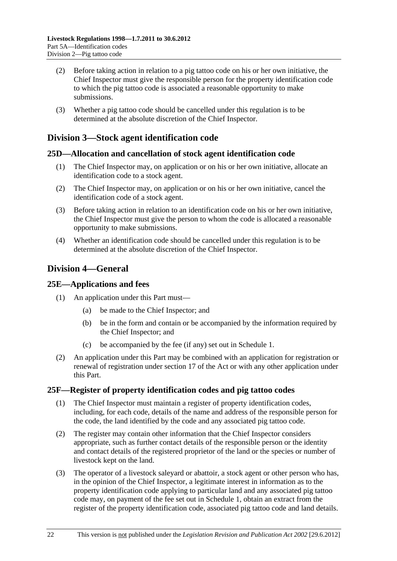- <span id="page-21-0"></span> (2) Before taking action in relation to a pig tattoo code on his or her own initiative, the Chief Inspector must give the responsible person for the property identification code to which the pig tattoo code is associated a reasonable opportunity to make submissions.
- (3) Whether a pig tattoo code should be cancelled under this regulation is to be determined at the absolute discretion of the Chief Inspector.

## **Division 3—Stock agent identification code**

#### **25D—Allocation and cancellation of stock agent identification code**

- (1) The Chief Inspector may, on application or on his or her own initiative, allocate an identification code to a stock agent.
- (2) The Chief Inspector may, on application or on his or her own initiative, cancel the identification code of a stock agent.
- (3) Before taking action in relation to an identification code on his or her own initiative, the Chief Inspector must give the person to whom the code is allocated a reasonable opportunity to make submissions.
- (4) Whether an identification code should be cancelled under this regulation is to be determined at the absolute discretion of the Chief Inspector.

## **Division 4—General**

#### **25E—Applications and fees**

- (1) An application under this Part must—
	- (a) be made to the Chief Inspector; and
	- (b) be in the form and contain or be accompanied by the information required by the Chief Inspector; and
	- (c) be accompanied by the fee (if any) set out in [Schedule 1.](#page-46-0)
- (2) An application under this Part may be combined with an application for registration or renewal of registration under section 17 of the Act or with any other application under this Part.

## **25F—Register of property identification codes and pig tattoo codes**

- (1) The Chief Inspector must maintain a register of property identification codes, including, for each code, details of the name and address of the responsible person for the code, the land identified by the code and any associated pig tattoo code.
- (2) The register may contain other information that the Chief Inspector considers appropriate, such as further contact details of the responsible person or the identity and contact details of the registered proprietor of the land or the species or number of livestock kept on the land.
- (3) The operator of a livestock saleyard or abattoir, a stock agent or other person who has, in the opinion of the Chief Inspector, a legitimate interest in information as to the property identification code applying to particular land and any associated pig tattoo code may, on payment of the fee set out in [Schedule 1,](#page-46-0) obtain an extract from the register of the property identification code, associated pig tattoo code and land details.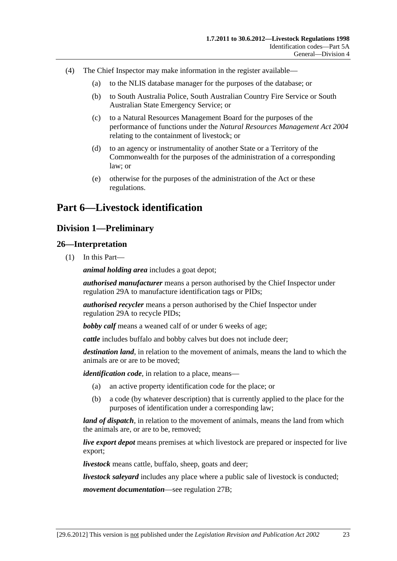- <span id="page-22-0"></span> (4) The Chief Inspector may make information in the register available—
	- (a) to the NLIS database manager for the purposes of the database; or
	- (b) to South Australia Police, South Australian Country Fire Service or South Australian State Emergency Service; or
	- (c) to a Natural Resources Management Board for the purposes of the performance of functions under the *[Natural Resources Management Act 2004](http://www.legislation.sa.gov.au/index.aspx?action=legref&type=act&legtitle=Natural%20Resources%20Management%20Act%202004)* relating to the containment of livestock; or
	- (d) to an agency or instrumentality of another State or a Territory of the Commonwealth for the purposes of the administration of a corresponding law; or
	- (e) otherwise for the purposes of the administration of the Act or these regulations.

# **Part 6—Livestock identification**

## **Division 1—Preliminary**

#### **26—Interpretation**

(1) In this Part—

*animal holding area* includes a goat depot;

*authorised manufacturer* means a person authorised by the Chief Inspector under [regulation 29A](#page-38-0) to manufacture identification tags or PIDs;

*authorised recycler* means a person authorised by the Chief Inspector under [regulation 29A](#page-38-0) to recycle PIDs;

*bobby calf* means a weaned calf of or under 6 weeks of age;

*cattle* includes buffalo and bobby calves but does not include deer;

*destination land*, in relation to the movement of animals, means the land to which the animals are or are to be moved;

*identification code*, in relation to a place, means—

- (a) an active property identification code for the place; or
- (b) a code (by whatever description) that is currently applied to the place for the purposes of identification under a corresponding law;

*land of dispatch*, in relation to the movement of animals, means the land from which the animals are, or are to be, removed;

*live export depot* means premises at which livestock are prepared or inspected for live export;

*livestock* means cattle, buffalo, sheep, goats and deer;

*livestock saleyard* includes any place where a public sale of livestock is conducted;

*movement documentation*—see [regulation 27B;](#page-25-0)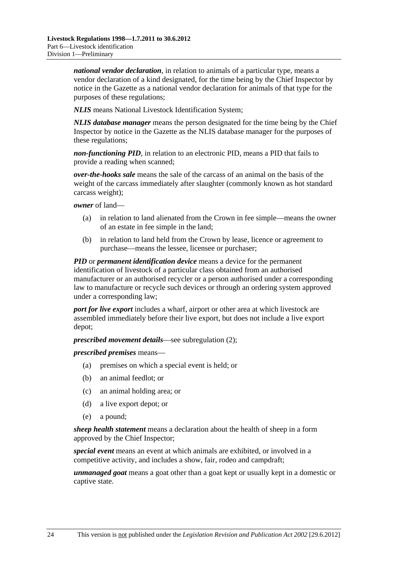*national vendor declaration*, in relation to animals of a particular type, means a vendor declaration of a kind designated, for the time being by the Chief Inspector by notice in the Gazette as a national vendor declaration for animals of that type for the purposes of these regulations;

*NLIS* means National Livestock Identification System;

*NLIS database manager* means the person designated for the time being by the Chief Inspector by notice in the Gazette as the NLIS database manager for the purposes of these regulations;

*non-functioning PID*, in relation to an electronic PID, means a PID that fails to provide a reading when scanned;

*over-the-hooks sale* means the sale of the carcass of an animal on the basis of the weight of the carcass immediately after slaughter (commonly known as hot standard carcass weight);

*owner* of land—

- (a) in relation to land alienated from the Crown in fee simple—means the owner of an estate in fee simple in the land;
- (b) in relation to land held from the Crown by lease, licence or agreement to purchase—means the lessee, licensee or purchaser;

*PID* or *permanent identification device* means a device for the permanent identification of livestock of a particular class obtained from an authorised manufacturer or an authorised recycler or a person authorised under a corresponding law to manufacture or recycle such devices or through an ordering system approved under a corresponding law;

*port for live export* includes a wharf, airport or other area at which livestock are assembled immediately before their live export, but does not include a live export depot;

*prescribed movement details*—see [subregulation \(2\);](#page-24-0)

*prescribed premises* means—

- (a) premises on which a special event is held; or
- (b) an animal feedlot; or
- (c) an animal holding area; or
- (d) a live export depot; or
- (e) a pound;

*sheep health statement* means a declaration about the health of sheep in a form approved by the Chief Inspector;

*special event* means an event at which animals are exhibited, or involved in a competitive activity, and includes a show, fair, rodeo and campdraft;

*unmanaged goat* means a goat other than a goat kept or usually kept in a domestic or captive state.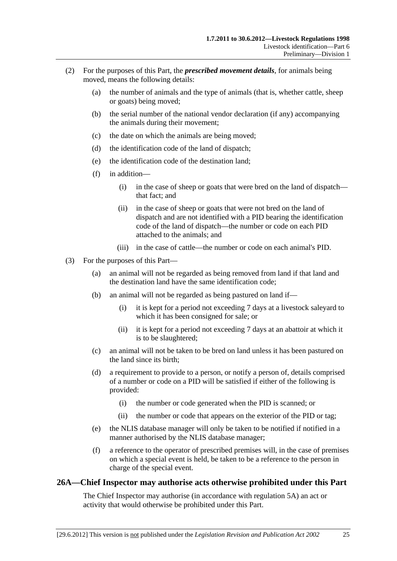- <span id="page-24-0"></span> (2) For the purposes of this Part, the *prescribed movement details*, for animals being moved, means the following details:
	- (a) the number of animals and the type of animals (that is, whether cattle, sheep or goats) being moved;
	- (b) the serial number of the national vendor declaration (if any) accompanying the animals during their movement;
	- (c) the date on which the animals are being moved;
	- (d) the identification code of the land of dispatch;
	- (e) the identification code of the destination land;
	- (f) in addition—
		- (i) in the case of sheep or goats that were bred on the land of dispatch that fact; and
		- (ii) in the case of sheep or goats that were not bred on the land of dispatch and are not identified with a PID bearing the identification code of the land of dispatch—the number or code on each PID attached to the animals; and
		- (iii) in the case of cattle—the number or code on each animal's PID.
- (3) For the purposes of this Part—
	- (a) an animal will not be regarded as being removed from land if that land and the destination land have the same identification code;
	- (b) an animal will not be regarded as being pastured on land if—
		- (i) it is kept for a period not exceeding 7 days at a livestock saleyard to which it has been consigned for sale; or
		- (ii) it is kept for a period not exceeding 7 days at an abattoir at which it is to be slaughtered;
	- (c) an animal will not be taken to be bred on land unless it has been pastured on the land since its birth;
	- (d) a requirement to provide to a person, or notify a person of, details comprised of a number or code on a PID will be satisfied if either of the following is provided:
		- (i) the number or code generated when the PID is scanned; or
		- (ii) the number or code that appears on the exterior of the PID or tag;
	- (e) the NLIS database manager will only be taken to be notified if notified in a manner authorised by the NLIS database manager;
	- (f) a reference to the operator of prescribed premises will, in the case of premises on which a special event is held, be taken to be a reference to the person in charge of the special event.

## **26A—Chief Inspector may authorise acts otherwise prohibited under this Part**

The Chief Inspector may authorise (in accordance with [regulation 5A](#page-5-0)) an act or activity that would otherwise be prohibited under this Part.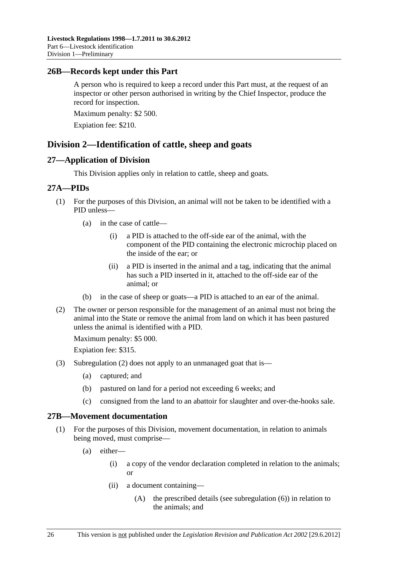### <span id="page-25-0"></span>**26B—Records kept under this Part**

A person who is required to keep a record under this Part must, at the request of an inspector or other person authorised in writing by the Chief Inspector, produce the record for inspection.

Maximum penalty: \$2 500.

Expiation fee: \$210.

## **Division 2—Identification of cattle, sheep and goats**

#### **27—Application of Division**

This Division applies only in relation to cattle, sheep and goats.

#### **27A—PIDs**

- (1) For the purposes of this Division, an animal will not be taken to be identified with a PID unless—
	- (a) in the case of cattle—
		- (i) a PID is attached to the off-side ear of the animal, with the component of the PID containing the electronic microchip placed on the inside of the ear; or
		- (ii) a PID is inserted in the animal and a tag, indicating that the animal has such a PID inserted in it, attached to the off-side ear of the animal; or
	- (b) in the case of sheep or goats—a PID is attached to an ear of the animal.
- (2) The owner or person responsible for the management of an animal must not bring the animal into the State or remove the animal from land on which it has been pastured unless the animal is identified with a PID.

Maximum penalty: \$5 000.

Expiation fee: \$315.

- (3) [Subregulation \(2\)](#page-25-0) does not apply to an unmanaged goat that is—
	- (a) captured; and
	- (b) pastured on land for a period not exceeding 6 weeks; and
	- (c) consigned from the land to an abattoir for slaughter and over-the-hooks sale.

## **27B—Movement documentation**

- (1) For the purposes of this Division, movement documentation, in relation to animals being moved, must comprise—
	- (a) either—
		- (i) a copy of the vendor declaration completed in relation to the animals; or
		- (ii) a document containing—
			- (A) the prescribed details (see [subregulation \(6\)\)](#page-27-0) in relation to the animals; and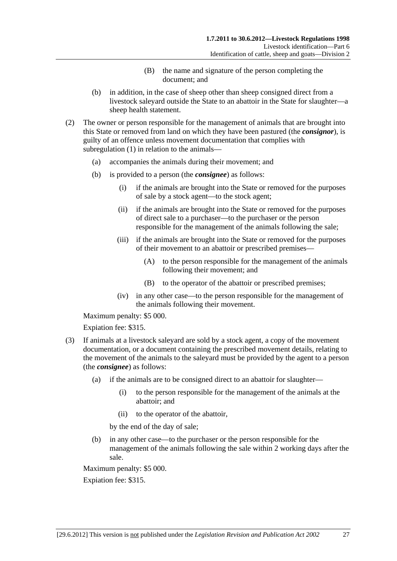- (B) the name and signature of the person completing the document; and
- <span id="page-26-0"></span> (b) in addition, in the case of sheep other than sheep consigned direct from a livestock saleyard outside the State to an abattoir in the State for slaughter—a sheep health statement.
- (2) The owner or person responsible for the management of animals that are brought into this State or removed from land on which they have been pastured (the *consignor*), is guilty of an offence unless movement documentation that complies with [subregulation \(1\)](#page-25-0) in relation to the animals—
	- (a) accompanies the animals during their movement; and
	- (b) is provided to a person (the *consignee*) as follows:
		- (i) if the animals are brought into the State or removed for the purposes of sale by a stock agent—to the stock agent;
		- (ii) if the animals are brought into the State or removed for the purposes of direct sale to a purchaser—to the purchaser or the person responsible for the management of the animals following the sale;
		- (iii) if the animals are brought into the State or removed for the purposes of their movement to an abattoir or prescribed premises—
			- (A) to the person responsible for the management of the animals following their movement; and
			- (B) to the operator of the abattoir or prescribed premises;
		- (iv) in any other case—to the person responsible for the management of the animals following their movement.

Maximum penalty: \$5 000.

Expiation fee: \$315.

- (3) If animals at a livestock saleyard are sold by a stock agent, a copy of the movement documentation, or a document containing the prescribed movement details, relating to the movement of the animals to the saleyard must be provided by the agent to a person (the *consignee*) as follows:
	- (a) if the animals are to be consigned direct to an abattoir for slaughter—
		- (i) to the person responsible for the management of the animals at the abattoir; and
		- (ii) to the operator of the abattoir,

by the end of the day of sale;

 (b) in any other case—to the purchaser or the person responsible for the management of the animals following the sale within 2 working days after the sale.

Maximum penalty: \$5 000.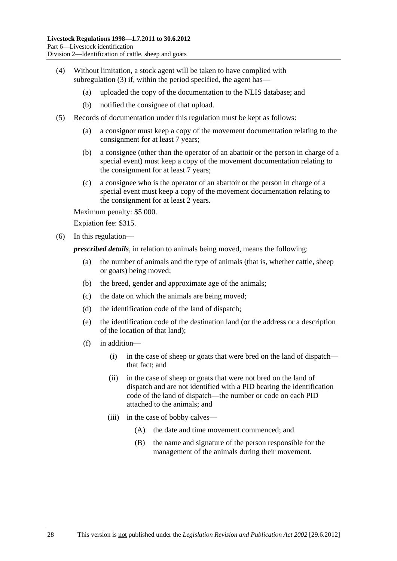- <span id="page-27-0"></span> (4) Without limitation, a stock agent will be taken to have complied with [subregulation \(3\)](#page-26-0) if, within the period specified, the agent has—
	- (a) uploaded the copy of the documentation to the NLIS database; and
	- (b) notified the consignee of that upload.
- (5) Records of documentation under this regulation must be kept as follows:
	- (a) a consignor must keep a copy of the movement documentation relating to the consignment for at least 7 years;
	- (b) a consignee (other than the operator of an abattoir or the person in charge of a special event) must keep a copy of the movement documentation relating to the consignment for at least 7 years;
	- (c) a consignee who is the operator of an abattoir or the person in charge of a special event must keep a copy of the movement documentation relating to the consignment for at least 2 years.

Maximum penalty: \$5 000.

Expiation fee: \$315.

(6) In this regulation—

*prescribed details*, in relation to animals being moved, means the following:

- (a) the number of animals and the type of animals (that is, whether cattle, sheep or goats) being moved;
- (b) the breed, gender and approximate age of the animals;
- (c) the date on which the animals are being moved;
- (d) the identification code of the land of dispatch;
- (e) the identification code of the destination land (or the address or a description of the location of that land);
- (f) in addition—
	- (i) in the case of sheep or goats that were bred on the land of dispatch that fact; and
	- (ii) in the case of sheep or goats that were not bred on the land of dispatch and are not identified with a PID bearing the identification code of the land of dispatch—the number or code on each PID attached to the animals; and
	- (iii) in the case of bobby calves—
		- (A) the date and time movement commenced; and
		- (B) the name and signature of the person responsible for the management of the animals during their movement.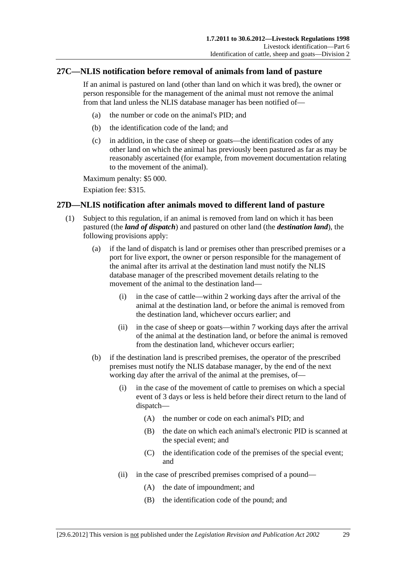## <span id="page-28-0"></span>**27C—NLIS notification before removal of animals from land of pasture**

If an animal is pastured on land (other than land on which it was bred), the owner or person responsible for the management of the animal must not remove the animal from that land unless the NLIS database manager has been notified of—

- (a) the number or code on the animal's PID; and
- (b) the identification code of the land; and
- (c) in addition, in the case of sheep or goats—the identification codes of any other land on which the animal has previously been pastured as far as may be reasonably ascertained (for example, from movement documentation relating to the movement of the animal).

Maximum penalty: \$5 000.

Expiation fee: \$315.

## **27D—NLIS notification after animals moved to different land of pasture**

- (1) Subject to this regulation, if an animal is removed from land on which it has been pastured (the *land of dispatch*) and pastured on other land (the *destination land*), the following provisions apply:
	- (a) if the land of dispatch is land or premises other than prescribed premises or a port for live export, the owner or person responsible for the management of the animal after its arrival at the destination land must notify the NLIS database manager of the prescribed movement details relating to the movement of the animal to the destination land—
		- (i) in the case of cattle—within 2 working days after the arrival of the animal at the destination land, or before the animal is removed from the destination land, whichever occurs earlier; and
		- (ii) in the case of sheep or goats—within 7 working days after the arrival of the animal at the destination land, or before the animal is removed from the destination land, whichever occurs earlier;
	- (b) if the destination land is prescribed premises, the operator of the prescribed premises must notify the NLIS database manager, by the end of the next working day after the arrival of the animal at the premises, of—
		- (i) in the case of the movement of cattle to premises on which a special event of 3 days or less is held before their direct return to the land of dispatch—
			- (A) the number or code on each animal's PID; and
			- (B) the date on which each animal's electronic PID is scanned at the special event; and
			- (C) the identification code of the premises of the special event; and
		- (ii) in the case of prescribed premises comprised of a pound—
			- (A) the date of impoundment; and
			- (B) the identification code of the pound; and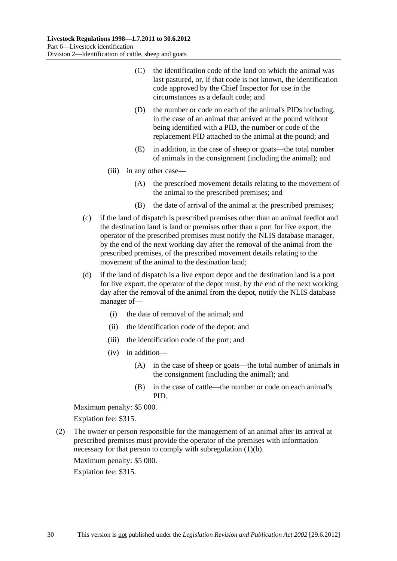- <span id="page-29-0"></span> (C) the identification code of the land on which the animal was last pastured, or, if that code is not known, the identification code approved by the Chief Inspector for use in the circumstances as a default code; and
- (D) the number or code on each of the animal's PIDs including, in the case of an animal that arrived at the pound without being identified with a PID, the number or code of the replacement PID attached to the animal at the pound; and
- (E) in addition, in the case of sheep or goats—the total number of animals in the consignment (including the animal); and
- (iii) in any other case—
	- (A) the prescribed movement details relating to the movement of the animal to the prescribed premises; and
	- (B) the date of arrival of the animal at the prescribed premises;
- (c) if the land of dispatch is prescribed premises other than an animal feedlot and the destination land is land or premises other than a port for live export, the operator of the prescribed premises must notify the NLIS database manager, by the end of the next working day after the removal of the animal from the prescribed premises, of the prescribed movement details relating to the movement of the animal to the destination land;
- (d) if the land of dispatch is a live export depot and the destination land is a port for live export, the operator of the depot must, by the end of the next working day after the removal of the animal from the depot, notify the NLIS database manager of—
	- (i) the date of removal of the animal; and
	- (ii) the identification code of the depot; and
	- (iii) the identification code of the port; and
	- (iv) in addition—
		- (A) in the case of sheep or goats—the total number of animals in the consignment (including the animal); and
		- (B) in the case of cattle—the number or code on each animal's PID.

Maximum penalty: \$5 000.

Expiation fee: \$315.

 (2) The owner or person responsible for the management of an animal after its arrival at prescribed premises must provide the operator of the premises with information necessary for that person to comply with [subregulation \(1\)\(b\).](#page-28-0)

Maximum penalty: \$5 000.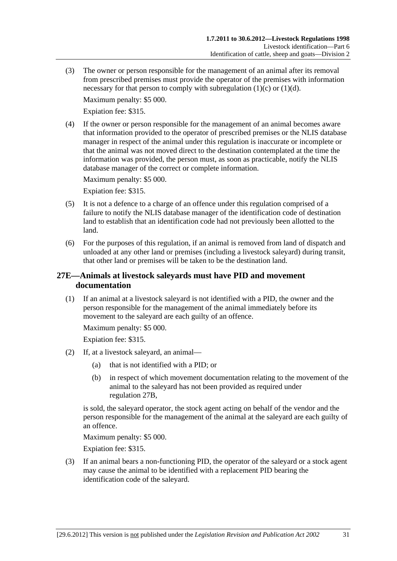<span id="page-30-0"></span> (3) The owner or person responsible for the management of an animal after its removal from prescribed premises must provide the operator of the premises with information necessary for that person to comply with subregulation  $(1)(c)$  or  $(1)(d)$ .

Maximum penalty: \$5 000.

Expiation fee: \$315.

 (4) If the owner or person responsible for the management of an animal becomes aware that information provided to the operator of prescribed premises or the NLIS database manager in respect of the animal under this regulation is inaccurate or incomplete or that the animal was not moved direct to the destination contemplated at the time the information was provided, the person must, as soon as practicable, notify the NLIS database manager of the correct or complete information.

Maximum penalty: \$5 000.

Expiation fee: \$315.

- (5) It is not a defence to a charge of an offence under this regulation comprised of a failure to notify the NLIS database manager of the identification code of destination land to establish that an identification code had not previously been allotted to the land.
- (6) For the purposes of this regulation, if an animal is removed from land of dispatch and unloaded at any other land or premises (including a livestock saleyard) during transit, that other land or premises will be taken to be the destination land.

## **27E—Animals at livestock saleyards must have PID and movement documentation**

 (1) If an animal at a livestock saleyard is not identified with a PID, the owner and the person responsible for the management of the animal immediately before its movement to the saleyard are each guilty of an offence.

Maximum penalty: \$5 000.

Expiation fee: \$315.

- (2) If, at a livestock saleyard, an animal—
	- (a) that is not identified with a PID; or
	- (b) in respect of which movement documentation relating to the movement of the animal to the saleyard has not been provided as required under [regulation 27B](#page-25-0),

is sold, the saleyard operator, the stock agent acting on behalf of the vendor and the person responsible for the management of the animal at the saleyard are each guilty of an offence.

Maximum penalty: \$5 000.

Expiation fee: \$315.

 (3) If an animal bears a non-functioning PID, the operator of the saleyard or a stock agent may cause the animal to be identified with a replacement PID bearing the identification code of the saleyard.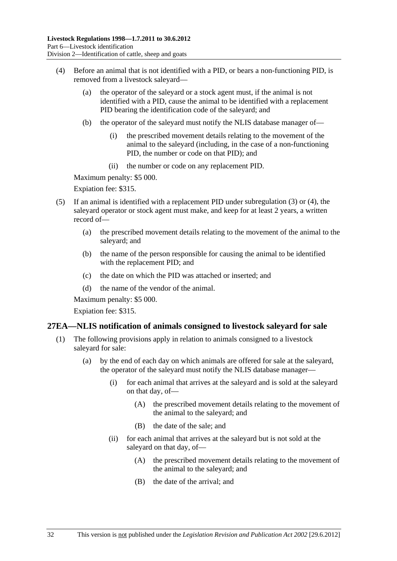- <span id="page-31-0"></span> (4) Before an animal that is not identified with a PID, or bears a non-functioning PID, is removed from a livestock saleyard—
	- (a) the operator of the saleyard or a stock agent must, if the animal is not identified with a PID, cause the animal to be identified with a replacement PID bearing the identification code of the saleyard; and
	- (b) the operator of the saleyard must notify the NLIS database manager of—
		- (i) the prescribed movement details relating to the movement of the animal to the saleyard (including, in the case of a non-functioning PID, the number or code on that PID); and
		- (ii) the number or code on any replacement PID.

Maximum penalty: \$5 000.

Expiation fee: \$315.

- (5) If an animal is identified with a replacement PID under [subregulation \(3\)](#page-30-0) or [\(4\),](#page-31-0) the saleyard operator or stock agent must make, and keep for at least 2 years, a written record of—
	- (a) the prescribed movement details relating to the movement of the animal to the saleyard; and
	- (b) the name of the person responsible for causing the animal to be identified with the replacement PID; and
	- (c) the date on which the PID was attached or inserted; and
	- (d) the name of the vendor of the animal.

Maximum penalty: \$5 000.

Expiation fee: \$315.

#### **27EA—NLIS notification of animals consigned to livestock saleyard for sale**

- (1) The following provisions apply in relation to animals consigned to a livestock saleyard for sale:
	- (a) by the end of each day on which animals are offered for sale at the saleyard, the operator of the saleyard must notify the NLIS database manager—
		- (i) for each animal that arrives at the saleyard and is sold at the saleyard on that day, of—
			- (A) the prescribed movement details relating to the movement of the animal to the saleyard; and
			- (B) the date of the sale; and
		- (ii) for each animal that arrives at the saleyard but is not sold at the saleyard on that day, of—
			- (A) the prescribed movement details relating to the movement of the animal to the saleyard; and
			- (B) the date of the arrival; and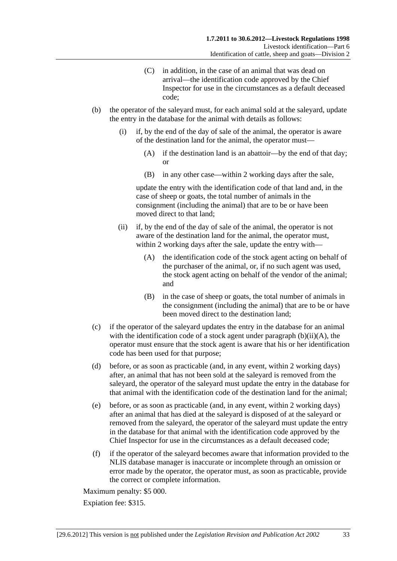- (C) in addition, in the case of an animal that was dead on arrival—the identification code approved by the Chief Inspector for use in the circumstances as a default deceased code;
- <span id="page-32-0"></span> (b) the operator of the saleyard must, for each animal sold at the saleyard, update the entry in the database for the animal with details as follows:
	- (i) if, by the end of the day of sale of the animal, the operator is aware of the destination land for the animal, the operator must—
		- (A) if the destination land is an abattoir—by the end of that day; or
		- (B) in any other case—within 2 working days after the sale,

update the entry with the identification code of that land and, in the case of sheep or goats, the total number of animals in the consignment (including the animal) that are to be or have been moved direct to that land;

- (ii) if, by the end of the day of sale of the animal, the operator is not aware of the destination land for the animal, the operator must, within 2 working days after the sale, update the entry with—
	- (A) the identification code of the stock agent acting on behalf of the purchaser of the animal, or, if no such agent was used, the stock agent acting on behalf of the vendor of the animal; and
	- (B) in the case of sheep or goats, the total number of animals in the consignment (including the animal) that are to be or have been moved direct to the destination land;
- (c) if the operator of the saleyard updates the entry in the database for an animal with the identification code of a stock agent under paragraph  $(b)(ii)(A)$ , the operator must ensure that the stock agent is aware that his or her identification code has been used for that purpose;
- (d) before, or as soon as practicable (and, in any event, within 2 working days) after, an animal that has not been sold at the saleyard is removed from the saleyard, the operator of the saleyard must update the entry in the database for that animal with the identification code of the destination land for the animal;
- (e) before, or as soon as practicable (and, in any event, within 2 working days) after an animal that has died at the saleyard is disposed of at the saleyard or removed from the saleyard, the operator of the saleyard must update the entry in the database for that animal with the identification code approved by the Chief Inspector for use in the circumstances as a default deceased code;
- (f) if the operator of the saleyard becomes aware that information provided to the NLIS database manager is inaccurate or incomplete through an omission or error made by the operator, the operator must, as soon as practicable, provide the correct or complete information.

Maximum penalty: \$5 000.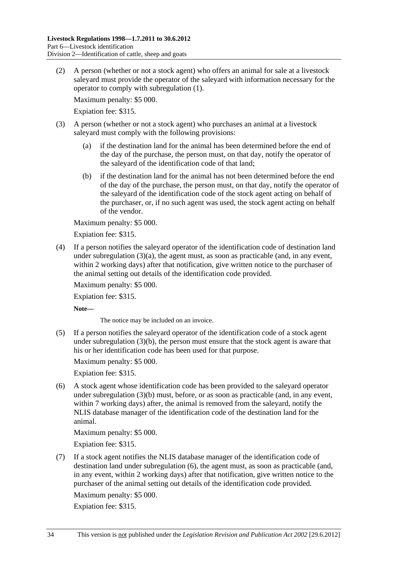<span id="page-33-0"></span> (2) A person (whether or not a stock agent) who offers an animal for sale at a livestock saleyard must provide the operator of the saleyard with information necessary for the operator to comply with [subregulation \(1\)](#page-31-0).

Maximum penalty: \$5 000.

Expiation fee: \$315.

- (3) A person (whether or not a stock agent) who purchases an animal at a livestock saleyard must comply with the following provisions:
	- (a) if the destination land for the animal has been determined before the end of the day of the purchase, the person must, on that day, notify the operator of the saleyard of the identification code of that land;
	- (b) if the destination land for the animal has not been determined before the end of the day of the purchase, the person must, on that day, notify the operator of the saleyard of the identification code of the stock agent acting on behalf of the purchaser, or, if no such agent was used, the stock agent acting on behalf of the vendor.

Maximum penalty: \$5 000.

Expiation fee: \$315.

 (4) If a person notifies the saleyard operator of the identification code of destination land under subregulation  $(3)(a)$ , the agent must, as soon as practicable (and, in any event, within 2 working days) after that notification, give written notice to the purchaser of the animal setting out details of the identification code provided.

Maximum penalty: \$5 000.

Expiation fee: \$315.

**Note—** 

The notice may be included on an invoice.

 (5) If a person notifies the saleyard operator of the identification code of a stock agent under [subregulation \(3\)\(b\),](#page-33-0) the person must ensure that the stock agent is aware that his or her identification code has been used for that purpose.

Maximum penalty: \$5 000.

Expiation fee: \$315.

 (6) A stock agent whose identification code has been provided to the saleyard operator under [subregulation \(3\)\(b\)](#page-33-0) must, before, or as soon as practicable (and, in any event, within 7 working days) after, the animal is removed from the saleyard, notify the NLIS database manager of the identification code of the destination land for the animal.

Maximum penalty: \$5 000.

Expiation fee: \$315.

 (7) If a stock agent notifies the NLIS database manager of the identification code of destination land under [subregulation \(6\),](#page-33-0) the agent must, as soon as practicable (and, in any event, within 2 working days) after that notification, give written notice to the purchaser of the animal setting out details of the identification code provided.

Maximum penalty: \$5 000.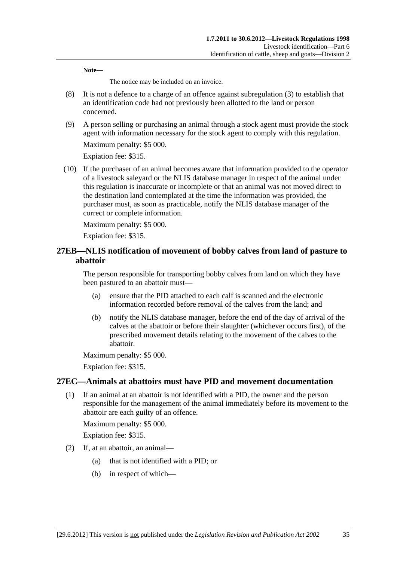<span id="page-34-0"></span>**Note—** 

The notice may be included on an invoice.

- (8) It is not a defence to a charge of an offence against [subregulation \(3\)](#page-33-0) to establish that an identification code had not previously been allotted to the land or person concerned.
- (9) A person selling or purchasing an animal through a stock agent must provide the stock agent with information necessary for the stock agent to comply with this regulation.

Maximum penalty: \$5 000.

Expiation fee: \$315.

 (10) If the purchaser of an animal becomes aware that information provided to the operator of a livestock saleyard or the NLIS database manager in respect of the animal under this regulation is inaccurate or incomplete or that an animal was not moved direct to the destination land contemplated at the time the information was provided, the purchaser must, as soon as practicable, notify the NLIS database manager of the correct or complete information.

Maximum penalty: \$5 000.

Expiation fee: \$315.

## **27EB—NLIS notification of movement of bobby calves from land of pasture to abattoir**

The person responsible for transporting bobby calves from land on which they have been pastured to an abattoir must—

- (a) ensure that the PID attached to each calf is scanned and the electronic information recorded before removal of the calves from the land; and
- (b) notify the NLIS database manager, before the end of the day of arrival of the calves at the abattoir or before their slaughter (whichever occurs first), of the prescribed movement details relating to the movement of the calves to the abattoir.

Maximum penalty: \$5 000.

Expiation fee: \$315.

## **27EC—Animals at abattoirs must have PID and movement documentation**

 (1) If an animal at an abattoir is not identified with a PID, the owner and the person responsible for the management of the animal immediately before its movement to the abattoir are each guilty of an offence.

Maximum penalty: \$5 000.

- (2) If, at an abattoir, an animal—
	- (a) that is not identified with a PID; or
	- (b) in respect of which—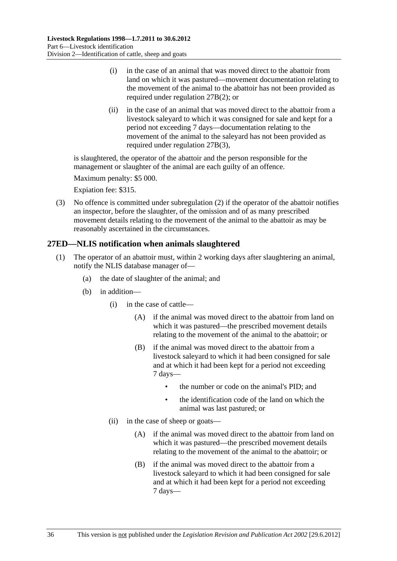- <span id="page-35-0"></span> (i) in the case of an animal that was moved direct to the abattoir from land on which it was pastured—movement documentation relating to the movement of the animal to the abattoir has not been provided as required under [regulation 27B\(2\)](#page-26-0); or
- (ii) in the case of an animal that was moved direct to the abattoir from a livestock saleyard to which it was consigned for sale and kept for a period not exceeding 7 days—documentation relating to the movement of the animal to the saleyard has not been provided as required under [regulation 27B\(3\)](#page-26-0),

is slaughtered, the operator of the abattoir and the person responsible for the management or slaughter of the animal are each guilty of an offence.

Maximum penalty: \$5 000.

Expiation fee: \$315.

 (3) No offence is committed under [subregulation \(2\)](#page-34-0) if the operator of the abattoir notifies an inspector, before the slaughter, of the omission and of as many prescribed movement details relating to the movement of the animal to the abattoir as may be reasonably ascertained in the circumstances.

## **27ED—NLIS notification when animals slaughtered**

- (1) The operator of an abattoir must, within 2 working days after slaughtering an animal, notify the NLIS database manager of—
	- (a) the date of slaughter of the animal; and
	- (b) in addition—
		- (i) in the case of cattle—
			- (A) if the animal was moved direct to the abattoir from land on which it was pastured—the prescribed movement details relating to the movement of the animal to the abattoir; or
			- (B) if the animal was moved direct to the abattoir from a livestock saleyard to which it had been consigned for sale and at which it had been kept for a period not exceeding 7 days—
				- the number or code on the animal's PID; and
				- the identification code of the land on which the animal was last pastured; or
		- (ii) in the case of sheep or goats—
			- (A) if the animal was moved direct to the abattoir from land on which it was pastured—the prescribed movement details relating to the movement of the animal to the abattoir; or
			- (B) if the animal was moved direct to the abattoir from a livestock saleyard to which it had been consigned for sale and at which it had been kept for a period not exceeding 7 days—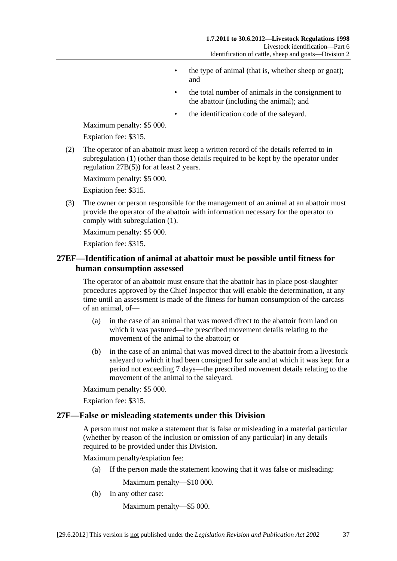- the type of animal (that is, whether sheep or goat); and
- the total number of animals in the consignment to the abattoir (including the animal); and
- the identification code of the saleyard.

<span id="page-36-0"></span>Maximum penalty: \$5 000.

Expiation fee: \$315.

 (2) The operator of an abattoir must keep a written record of the details referred to in [subregulation \(1\)](#page-35-0) (other than those details required to be kept by the operator under [regulation 27B\(5\)\)](#page-27-0) for at least 2 years.

Maximum penalty: \$5 000.

Expiation fee: \$315.

 (3) The owner or person responsible for the management of an animal at an abattoir must provide the operator of the abattoir with information necessary for the operator to comply with [subregulation \(1\)](#page-35-0).

Maximum penalty: \$5 000.

Expiation fee: \$315.

## **27EF—Identification of animal at abattoir must be possible until fitness for human consumption assessed**

The operator of an abattoir must ensure that the abattoir has in place post-slaughter procedures approved by the Chief Inspector that will enable the determination, at any time until an assessment is made of the fitness for human consumption of the carcass of an animal, of—

- (a) in the case of an animal that was moved direct to the abattoir from land on which it was pastured—the prescribed movement details relating to the movement of the animal to the abattoir; or
- (b) in the case of an animal that was moved direct to the abattoir from a livestock saleyard to which it had been consigned for sale and at which it was kept for a period not exceeding 7 days—the prescribed movement details relating to the movement of the animal to the saleyard.

Maximum penalty: \$5 000.

Expiation fee: \$315.

#### **27F—False or misleading statements under this Division**

A person must not make a statement that is false or misleading in a material particular (whether by reason of the inclusion or omission of any particular) in any details required to be provided under this Division.

Maximum penalty/expiation fee:

(a) If the person made the statement knowing that it was false or misleading:

Maximum penalty—\$10 000.

(b) In any other case:

Maximum penalty—\$5 000.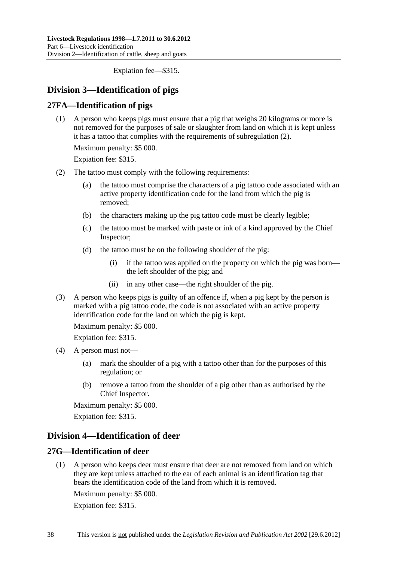Expiation fee—\$315.

## <span id="page-37-0"></span>**Division 3—Identification of pigs**

## **27FA—Identification of pigs**

 (1) A person who keeps pigs must ensure that a pig that weighs 20 kilograms or more is not removed for the purposes of sale or slaughter from land on which it is kept unless it has a tattoo that complies with the requirements of [subregulation \(2\)](#page-37-0).

Maximum penalty: \$5 000.

Expiation fee: \$315.

- (2) The tattoo must comply with the following requirements:
	- (a) the tattoo must comprise the characters of a pig tattoo code associated with an active property identification code for the land from which the pig is removed;
	- (b) the characters making up the pig tattoo code must be clearly legible;
	- (c) the tattoo must be marked with paste or ink of a kind approved by the Chief Inspector;
	- (d) the tattoo must be on the following shoulder of the pig:
		- (i) if the tattoo was applied on the property on which the pig was born the left shoulder of the pig; and
		- (ii) in any other case—the right shoulder of the pig.
- (3) A person who keeps pigs is guilty of an offence if, when a pig kept by the person is marked with a pig tattoo code, the code is not associated with an active property identification code for the land on which the pig is kept.

Maximum penalty: \$5 000.

Expiation fee: \$315.

- (4) A person must not—
	- (a) mark the shoulder of a pig with a tattoo other than for the purposes of this regulation; or
	- (b) remove a tattoo from the shoulder of a pig other than as authorised by the Chief Inspector.

Maximum penalty: \$5 000.

Expiation fee: \$315.

## **Division 4—Identification of deer**

## **27G—Identification of deer**

 (1) A person who keeps deer must ensure that deer are not removed from land on which they are kept unless attached to the ear of each animal is an identification tag that bears the identification code of the land from which it is removed.

Maximum penalty: \$5 000.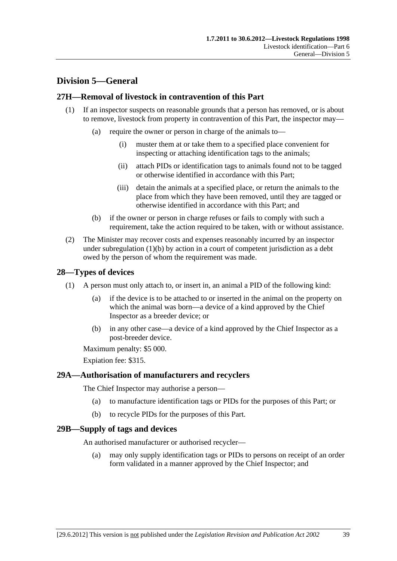## <span id="page-38-0"></span>**Division 5—General**

## **27H—Removal of livestock in contravention of this Part**

- (1) If an inspector suspects on reasonable grounds that a person has removed, or is about to remove, livestock from property in contravention of this Part, the inspector may—
	- (a) require the owner or person in charge of the animals to—
		- (i) muster them at or take them to a specified place convenient for inspecting or attaching identification tags to the animals;
		- (ii) attach PIDs or identification tags to animals found not to be tagged or otherwise identified in accordance with this Part;
		- (iii) detain the animals at a specified place, or return the animals to the place from which they have been removed, until they are tagged or otherwise identified in accordance with this Part; and
	- (b) if the owner or person in charge refuses or fails to comply with such a requirement, take the action required to be taken, with or without assistance.
- (2) The Minister may recover costs and expenses reasonably incurred by an inspector under subregulation  $(1)(b)$  by action in a court of competent jurisdiction as a debt owed by the person of whom the requirement was made.

## **28—Types of devices**

- (1) A person must only attach to, or insert in, an animal a PID of the following kind:
	- (a) if the device is to be attached to or inserted in the animal on the property on which the animal was born—a device of a kind approved by the Chief Inspector as a breeder device; or
	- (b) in any other case—a device of a kind approved by the Chief Inspector as a post-breeder device.

Maximum penalty: \$5 000.

Expiation fee: \$315.

## **29A—Authorisation of manufacturers and recyclers**

The Chief Inspector may authorise a person—

- (a) to manufacture identification tags or PIDs for the purposes of this Part; or
- (b) to recycle PIDs for the purposes of this Part.

## **29B—Supply of tags and devices**

An authorised manufacturer or authorised recycler—

 (a) may only supply identification tags or PIDs to persons on receipt of an order form validated in a manner approved by the Chief Inspector; and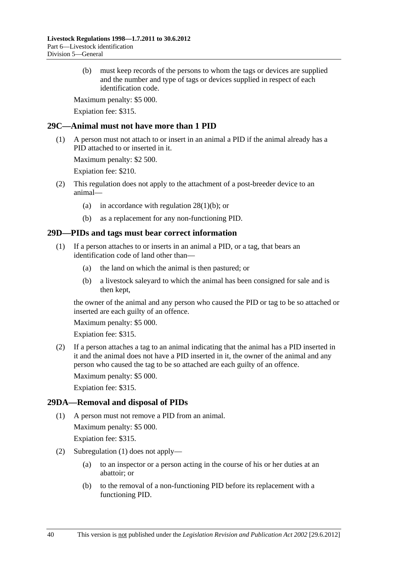<span id="page-39-0"></span> (b) must keep records of the persons to whom the tags or devices are supplied and the number and type of tags or devices supplied in respect of each identification code.

Maximum penalty: \$5 000.

Expiation fee: \$315.

## **29C—Animal must not have more than 1 PID**

 (1) A person must not attach to or insert in an animal a PID if the animal already has a PID attached to or inserted in it.

Maximum penalty: \$2 500.

Expiation fee: \$210.

- (2) This regulation does not apply to the attachment of a post-breeder device to an animal—
	- (a) in accordance with regulation  $28(1)(b)$ ; or
	- (b) as a replacement for any non-functioning PID.

## **29D—PIDs and tags must bear correct information**

- (1) If a person attaches to or inserts in an animal a PID, or a tag, that bears an identification code of land other than—
	- (a) the land on which the animal is then pastured; or
	- (b) a livestock saleyard to which the animal has been consigned for sale and is then kept,

the owner of the animal and any person who caused the PID or tag to be so attached or inserted are each guilty of an offence.

Maximum penalty: \$5 000.

Expiation fee: \$315.

 (2) If a person attaches a tag to an animal indicating that the animal has a PID inserted in it and the animal does not have a PID inserted in it, the owner of the animal and any person who caused the tag to be so attached are each guilty of an offence.

Maximum penalty: \$5 000.

Expiation fee: \$315.

## **29DA—Removal and disposal of PIDs**

(1) A person must not remove a PID from an animal.

Maximum penalty: \$5 000.

- (2) [Subregulation \(1\)](#page-39-0) does not apply—
	- (a) to an inspector or a person acting in the course of his or her duties at an abattoir; or
	- (b) to the removal of a non-functioning PID before its replacement with a functioning PID.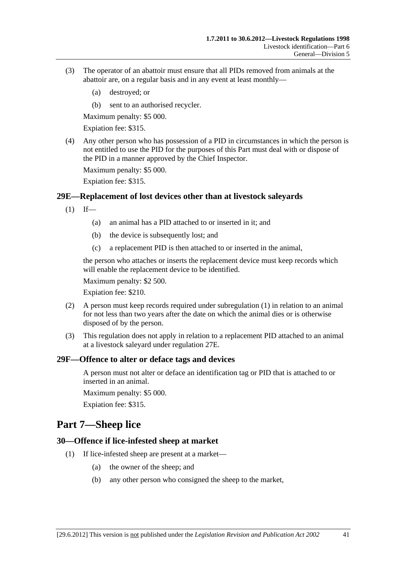- <span id="page-40-0"></span> (3) The operator of an abattoir must ensure that all PIDs removed from animals at the abattoir are, on a regular basis and in any event at least monthly—
	- (a) destroyed; or
	- (b) sent to an authorised recycler.

Maximum penalty: \$5 000.

Expiation fee: \$315.

 (4) Any other person who has possession of a PID in circumstances in which the person is not entitled to use the PID for the purposes of this Part must deal with or dispose of the PID in a manner approved by the Chief Inspector.

Maximum penalty: \$5 000.

Expiation fee: \$315.

#### **29E—Replacement of lost devices other than at livestock saleyards**

- $(1)$  If—
	- (a) an animal has a PID attached to or inserted in it; and
	- (b) the device is subsequently lost; and
	- (c) a replacement PID is then attached to or inserted in the animal,

the person who attaches or inserts the replacement device must keep records which will enable the replacement device to be identified.

Maximum penalty: \$2 500.

Expiation fee: \$210.

- (2) A person must keep records required under [subregulation \(1\)](#page-40-0) in relation to an animal for not less than two years after the date on which the animal dies or is otherwise disposed of by the person.
- (3) This regulation does not apply in relation to a replacement PID attached to an animal at a livestock saleyard under [regulation 27E.](#page-30-0)

#### **29F—Offence to alter or deface tags and devices**

A person must not alter or deface an identification tag or PID that is attached to or inserted in an animal.

Maximum penalty: \$5 000.

Expiation fee: \$315.

## **Part 7—Sheep lice**

#### **30—Offence if lice-infested sheep at market**

- (1) If lice-infested sheep are present at a market—
	- (a) the owner of the sheep; and
	- (b) any other person who consigned the sheep to the market,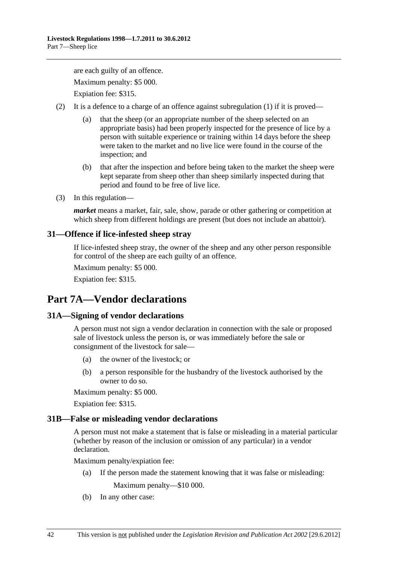<span id="page-41-0"></span>are each guilty of an offence. Maximum penalty: \$5 000. Expiation fee: \$315.

(2) It is a defence to a charge of an offence against [subregulation \(1\)](#page-40-0) if it is proved—

- (a) that the sheep (or an appropriate number of the sheep selected on an appropriate basis) had been properly inspected for the presence of lice by a person with suitable experience or training within 14 days before the sheep were taken to the market and no live lice were found in the course of the inspection; and
- (b) that after the inspection and before being taken to the market the sheep were kept separate from sheep other than sheep similarly inspected during that period and found to be free of live lice.
- (3) In this regulation—

*market* means a market, fair, sale, show, parade or other gathering or competition at which sheep from different holdings are present (but does not include an abattoir).

## **31—Offence if lice-infested sheep stray**

If lice-infested sheep stray, the owner of the sheep and any other person responsible for control of the sheep are each guilty of an offence.

Maximum penalty: \$5 000.

Expiation fee: \$315.

# **Part 7A—Vendor declarations**

## **31A—Signing of vendor declarations**

A person must not sign a vendor declaration in connection with the sale or proposed sale of livestock unless the person is, or was immediately before the sale or consignment of the livestock for sale—

- (a) the owner of the livestock; or
- (b) a person responsible for the husbandry of the livestock authorised by the owner to do so.

Maximum penalty: \$5 000.

Expiation fee: \$315.

## **31B—False or misleading vendor declarations**

A person must not make a statement that is false or misleading in a material particular (whether by reason of the inclusion or omission of any particular) in a vendor declaration.

Maximum penalty/expiation fee:

(a) If the person made the statement knowing that it was false or misleading:

Maximum penalty—\$10 000.

(b) In any other case: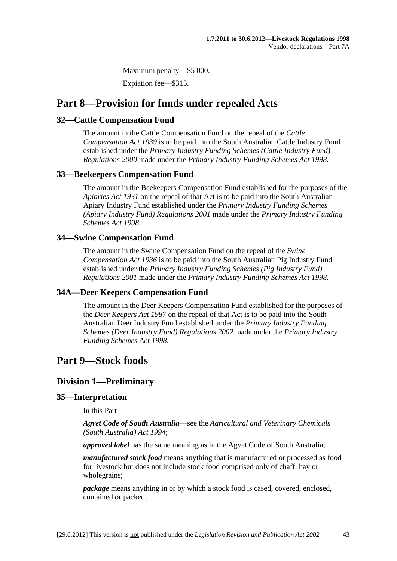Maximum penalty—\$5 000.

Expiation fee—\$315.

## <span id="page-42-0"></span>**Part 8—Provision for funds under repealed Acts**

## **32—Cattle Compensation Fund**

The amount in the Cattle Compensation Fund on the repeal of the *[Cattle](http://www.legislation.sa.gov.au/index.aspx?action=legref&type=act&legtitle=Cattle%20Compensation%20Act%201939)  [Compensation Act 1939](http://www.legislation.sa.gov.au/index.aspx?action=legref&type=act&legtitle=Cattle%20Compensation%20Act%201939)* is to be paid into the South Australian Cattle Industry Fund established under the *[Primary Industry Funding Schemes \(Cattle Industry Fund\)](http://www.legislation.sa.gov.au/index.aspx?action=legref&type=subordleg&legtitle=Primary%20Industry%20Funding%20Schemes%20(Cattle%20Industry%20Fund)%20Regulations%202000)  [Regulations 2000](http://www.legislation.sa.gov.au/index.aspx?action=legref&type=subordleg&legtitle=Primary%20Industry%20Funding%20Schemes%20(Cattle%20Industry%20Fund)%20Regulations%202000)* made under the *[Primary Industry Funding Schemes Act 1998](http://www.legislation.sa.gov.au/index.aspx?action=legref&type=act&legtitle=Primary%20Industry%20Funding%20Schemes%20Act%201998)*.

## **33—Beekeepers Compensation Fund**

The amount in the Beekeepers Compensation Fund established for the purposes of the *[Apiaries Act 1931](http://www.legislation.sa.gov.au/index.aspx?action=legref&type=act&legtitle=Apiaries%20Act%201931)* on the repeal of that Act is to be paid into the South Australian Apiary Industry Fund established under the *[Primary Industry Funding Schemes](http://www.legislation.sa.gov.au/index.aspx?action=legref&type=subordleg&legtitle=Primary%20Industry%20Funding%20Schemes%20(Apiary%20Industry%20Fund)%20Regulations%202001)  [\(Apiary Industry Fund\) Regulations 2001](http://www.legislation.sa.gov.au/index.aspx?action=legref&type=subordleg&legtitle=Primary%20Industry%20Funding%20Schemes%20(Apiary%20Industry%20Fund)%20Regulations%202001)* made under the *[Primary Industry Funding](http://www.legislation.sa.gov.au/index.aspx?action=legref&type=act&legtitle=Primary%20Industry%20Funding%20Schemes%20Act%201998)  [Schemes Act 1998](http://www.legislation.sa.gov.au/index.aspx?action=legref&type=act&legtitle=Primary%20Industry%20Funding%20Schemes%20Act%201998)*.

## **34—Swine Compensation Fund**

The amount in the Swine Compensation Fund on the repeal of the *[Swine](http://www.legislation.sa.gov.au/index.aspx?action=legref&type=act&legtitle=Swine%20Compensation%20Act%201936)  [Compensation Act 1936](http://www.legislation.sa.gov.au/index.aspx?action=legref&type=act&legtitle=Swine%20Compensation%20Act%201936)* is to be paid into the South Australian Pig Industry Fund established under the *[Primary Industry Funding Schemes \(Pig Industry Fund\)](http://www.legislation.sa.gov.au/index.aspx?action=legref&type=subordleg&legtitle=Primary%20Industry%20Funding%20Schemes%20(Pig%20Industry%20Fund)%20Regulations%202001)  [Regulations 2001](http://www.legislation.sa.gov.au/index.aspx?action=legref&type=subordleg&legtitle=Primary%20Industry%20Funding%20Schemes%20(Pig%20Industry%20Fund)%20Regulations%202001)* made under the *[Primary Industry Funding Schemes Act 1998](http://www.legislation.sa.gov.au/index.aspx?action=legref&type=act&legtitle=Primary%20Industry%20Funding%20Schemes%20Act%201998)*.

## **34A—Deer Keepers Compensation Fund**

The amount in the Deer Keepers Compensation Fund established for the purposes of the *[Deer Keepers Act 1987](http://www.legislation.sa.gov.au/index.aspx?action=legref&type=act&legtitle=Deer%20Keepers%20Act%201987)* on the repeal of that Act is to be paid into the South Australian Deer Industry Fund established under the *[Primary Industry Funding](http://www.legislation.sa.gov.au/index.aspx?action=legref&type=subordleg&legtitle=Primary%20Industry%20Funding%20Schemes%20(Deer%20Industry%20Fund)%20Regulations%202002)  [Schemes \(Deer Industry Fund\) Regulations 2002](http://www.legislation.sa.gov.au/index.aspx?action=legref&type=subordleg&legtitle=Primary%20Industry%20Funding%20Schemes%20(Deer%20Industry%20Fund)%20Regulations%202002)* made under the *[Primary Industry](http://www.legislation.sa.gov.au/index.aspx?action=legref&type=act&legtitle=Primary%20Industry%20Funding%20Schemes%20Act%201998)  [Funding Schemes Act 1998](http://www.legislation.sa.gov.au/index.aspx?action=legref&type=act&legtitle=Primary%20Industry%20Funding%20Schemes%20Act%201998)*.

## **Part 9—Stock foods**

## **Division 1—Preliminary**

## **35—Interpretation**

In this Part—

*Agvet Code of South Australia*—see the *[Agricultural and Veterinary Chemicals](http://www.legislation.sa.gov.au/index.aspx?action=legref&type=act&legtitle=Agricultural%20and%20Veterinary%20Chemicals%20(South%20Australia)%20Act%201994)  [\(South Australia\) Act 1994](http://www.legislation.sa.gov.au/index.aspx?action=legref&type=act&legtitle=Agricultural%20and%20Veterinary%20Chemicals%20(South%20Australia)%20Act%201994)*;

*approved label* has the same meaning as in the Agvet Code of South Australia;

*manufactured stock food* means anything that is manufactured or processed as food for livestock but does not include stock food comprised only of chaff, hay or wholegrains;

*package* means anything in or by which a stock food is cased, covered, enclosed, contained or packed;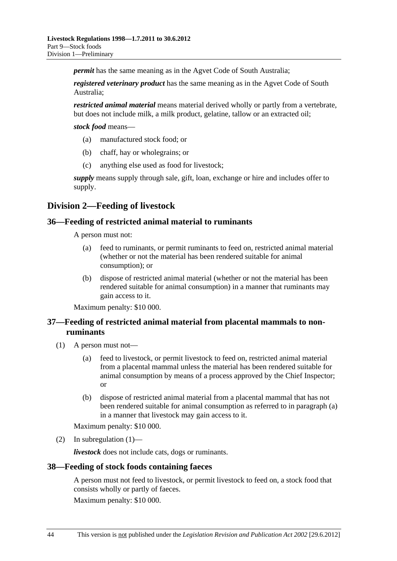<span id="page-43-0"></span>*permit* has the same meaning as in the Agvet Code of South Australia;

*registered veterinary product* has the same meaning as in the Agvet Code of South Australia;

*restricted animal material* means material derived wholly or partly from a vertebrate, but does not include milk, a milk product, gelatine, tallow or an extracted oil;

*stock food* means—

- (a) manufactured stock food; or
- (b) chaff, hay or wholegrains; or
- (c) anything else used as food for livestock;

*supply* means supply through sale, gift, loan, exchange or hire and includes offer to supply.

## **Division 2—Feeding of livestock**

#### **36—Feeding of restricted animal material to ruminants**

A person must not:

- (a) feed to ruminants, or permit ruminants to feed on, restricted animal material (whether or not the material has been rendered suitable for animal consumption); or
- (b) dispose of restricted animal material (whether or not the material has been rendered suitable for animal consumption) in a manner that ruminants may gain access to it.

Maximum penalty: \$10 000.

## **37—Feeding of restricted animal material from placental mammals to nonruminants**

- (1) A person must not—
	- (a) feed to livestock, or permit livestock to feed on, restricted animal material from a placental mammal unless the material has been rendered suitable for animal consumption by means of a process approved by the Chief Inspector; or
	- (b) dispose of restricted animal material from a placental mammal that has not been rendered suitable for animal consumption as referred to in [paragraph \(a\)](#page-43-0) in a manner that livestock may gain access to it.

Maximum penalty: \$10 000.

(2) In subregulation  $(1)$ —

*livestock* does not include cats, dogs or ruminants.

#### **38—Feeding of stock foods containing faeces**

A person must not feed to livestock, or permit livestock to feed on, a stock food that consists wholly or partly of faeces.

Maximum penalty: \$10 000.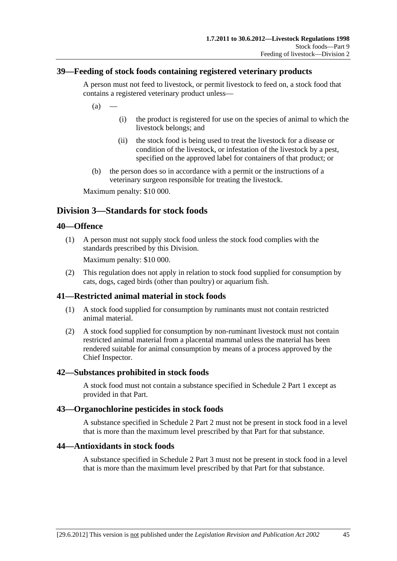## <span id="page-44-0"></span>**39—Feeding of stock foods containing registered veterinary products**

A person must not feed to livestock, or permit livestock to feed on, a stock food that contains a registered veterinary product unless—

 $(a)$ 

- (i) the product is registered for use on the species of animal to which the livestock belongs; and
- (ii) the stock food is being used to treat the livestock for a disease or condition of the livestock, or infestation of the livestock by a pest, specified on the approved label for containers of that product; or
- (b) the person does so in accordance with a permit or the instructions of a veterinary surgeon responsible for treating the livestock.

Maximum penalty: \$10 000.

## **Division 3—Standards for stock foods**

#### **40—Offence**

 (1) A person must not supply stock food unless the stock food complies with the standards prescribed by this Division.

Maximum penalty: \$10 000.

 (2) This regulation does not apply in relation to stock food supplied for consumption by cats, dogs, caged birds (other than poultry) or aquarium fish.

## **41—Restricted animal material in stock foods**

- (1) A stock food supplied for consumption by ruminants must not contain restricted animal material.
- (2) A stock food supplied for consumption by non-ruminant livestock must not contain restricted animal material from a placental mammal unless the material has been rendered suitable for animal consumption by means of a process approved by the Chief Inspector.

#### **42—Substances prohibited in stock foods**

A stock food must not contain a substance specified in [Schedule 2 Part 1](#page-0-0) except as provided in that Part.

#### **43—Organochlorine pesticides in stock foods**

A substance specified in [Schedule 2 Part 2](#page-0-0) must not be present in stock food in a level that is more than the maximum level prescribed by that Part for that substance.

#### **44—Antioxidants in stock foods**

A substance specified in [Schedule 2 Part 3](#page-0-0) must not be present in stock food in a level that is more than the maximum level prescribed by that Part for that substance.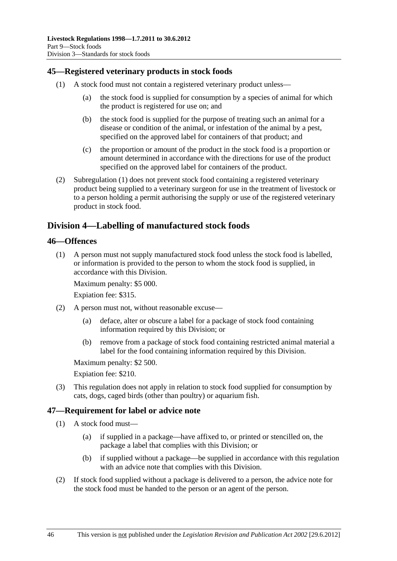## <span id="page-45-0"></span>**45—Registered veterinary products in stock foods**

- (1) A stock food must not contain a registered veterinary product unless—
	- (a) the stock food is supplied for consumption by a species of animal for which the product is registered for use on; and
	- (b) the stock food is supplied for the purpose of treating such an animal for a disease or condition of the animal, or infestation of the animal by a pest, specified on the approved label for containers of that product; and
	- (c) the proportion or amount of the product in the stock food is a proportion or amount determined in accordance with the directions for use of the product specified on the approved label for containers of the product.
- (2) [Subregulation \(1\)](#page-45-0) does not prevent stock food containing a registered veterinary product being supplied to a veterinary surgeon for use in the treatment of livestock or to a person holding a permit authorising the supply or use of the registered veterinary product in stock food.

## **Division 4—Labelling of manufactured stock foods**

#### **46—Offences**

 (1) A person must not supply manufactured stock food unless the stock food is labelled, or information is provided to the person to whom the stock food is supplied, in accordance with this Division.

Maximum penalty: \$5 000.

Expiation fee: \$315.

- (2) A person must not, without reasonable excuse—
	- (a) deface, alter or obscure a label for a package of stock food containing information required by this Division; or
	- (b) remove from a package of stock food containing restricted animal material a label for the food containing information required by this Division.

Maximum penalty: \$2 500.

Expiation fee: \$210.

 (3) This regulation does not apply in relation to stock food supplied for consumption by cats, dogs, caged birds (other than poultry) or aquarium fish.

## **47—Requirement for label or advice note**

- (1) A stock food must—
	- (a) if supplied in a package—have affixed to, or printed or stencilled on, the package a label that complies with this Division; or
	- (b) if supplied without a package—be supplied in accordance with this regulation with an advice note that complies with this Division.
- (2) If stock food supplied without a package is delivered to a person, the advice note for the stock food must be handed to the person or an agent of the person.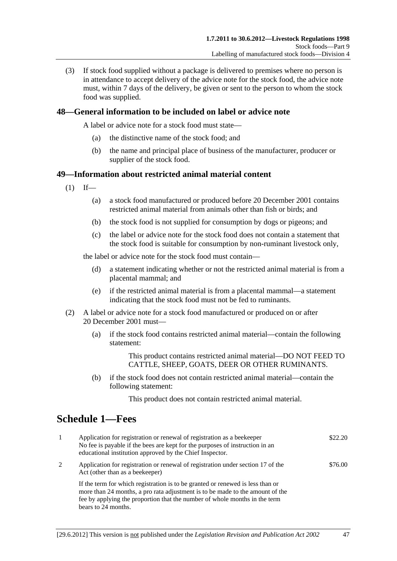<span id="page-46-0"></span> (3) If stock food supplied without a package is delivered to premises where no person is in attendance to accept delivery of the advice note for the stock food, the advice note must, within 7 days of the delivery, be given or sent to the person to whom the stock food was supplied.

## **48—General information to be included on label or advice note**

A label or advice note for a stock food must state—

- (a) the distinctive name of the stock food; and
- (b) the name and principal place of business of the manufacturer, producer or supplier of the stock food.

#### **49—Information about restricted animal material content**

- $(1)$  If—
	- (a) a stock food manufactured or produced before 20 December 2001 contains restricted animal material from animals other than fish or birds; and
	- (b) the stock food is not supplied for consumption by dogs or pigeons; and
	- (c) the label or advice note for the stock food does not contain a statement that the stock food is suitable for consumption by non-ruminant livestock only,

the label or advice note for the stock food must contain—

- (d) a statement indicating whether or not the restricted animal material is from a placental mammal; and
- (e) if the restricted animal material is from a placental mammal—a statement indicating that the stock food must not be fed to ruminants.
- (2) A label or advice note for a stock food manufactured or produced on or after 20 December 2001 must—
	- (a) if the stock food contains restricted animal material—contain the following statement:

This product contains restricted animal material—DO NOT FEED TO CATTLE, SHEEP, GOATS, DEER OR OTHER RUMINANTS.

 (b) if the stock food does not contain restricted animal material—contain the following statement:

This product does not contain restricted animal material.

# **Schedule 1—Fees**

| -1 | Application for registration or renewal of registration as a beekeeper<br>No fee is payable if the bees are kept for the purposes of instruction in an<br>educational institution approved by the Chief Inspector.                                                   | \$22.20 |
|----|----------------------------------------------------------------------------------------------------------------------------------------------------------------------------------------------------------------------------------------------------------------------|---------|
| 2  | Application for registration or renewal of registration under section 17 of the<br>Act (other than as a beekeeper)                                                                                                                                                   | \$76.00 |
|    | If the term for which registration is to be granted or renewed is less than or<br>more than 24 months, a pro rata adjustment is to be made to the amount of the<br>fee by applying the proportion that the number of whole months in the term<br>bears to 24 months. |         |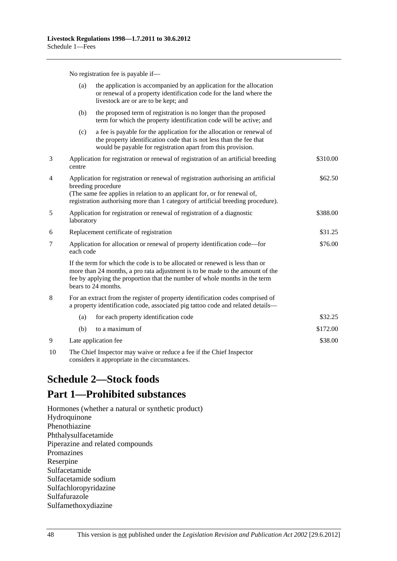No registration fee is payable if—

<span id="page-47-0"></span>

|    | (a)                                                                                                                                                                                                                                                                      | the application is accompanied by an application for the allocation<br>or renewal of a property identification code for the land where the<br>livestock are or are to be kept; and                                                                                 |          |
|----|--------------------------------------------------------------------------------------------------------------------------------------------------------------------------------------------------------------------------------------------------------------------------|--------------------------------------------------------------------------------------------------------------------------------------------------------------------------------------------------------------------------------------------------------------------|----------|
|    | (b)                                                                                                                                                                                                                                                                      | the proposed term of registration is no longer than the proposed<br>term for which the property identification code will be active; and                                                                                                                            |          |
|    | (c)                                                                                                                                                                                                                                                                      | a fee is payable for the application for the allocation or renewal of<br>the property identification code that is not less than the fee that<br>would be payable for registration apart from this provision.                                                       |          |
| 3  | centre                                                                                                                                                                                                                                                                   | Application for registration or renewal of registration of an artificial breeding                                                                                                                                                                                  | \$310.00 |
| 4  | Application for registration or renewal of registration authorising an artificial<br>breeding procedure<br>(The same fee applies in relation to an applicant for, or for renewal of,<br>registration authorising more than 1 category of artificial breeding procedure). |                                                                                                                                                                                                                                                                    | \$62.50  |
| 5  | Application for registration or renewal of registration of a diagnostic<br>laboratory                                                                                                                                                                                    |                                                                                                                                                                                                                                                                    | \$388.00 |
| 6  | Replacement certificate of registration                                                                                                                                                                                                                                  |                                                                                                                                                                                                                                                                    | \$31.25  |
| 7  | Application for allocation or renewal of property identification code—for<br>each code                                                                                                                                                                                   |                                                                                                                                                                                                                                                                    | \$76.00  |
|    |                                                                                                                                                                                                                                                                          | If the term for which the code is to be allocated or renewed is less than or<br>more than 24 months, a pro rata adjustment is to be made to the amount of the<br>fee by applying the proportion that the number of whole months in the term<br>bears to 24 months. |          |
| 8  |                                                                                                                                                                                                                                                                          | For an extract from the register of property identification codes comprised of<br>a property identification code, associated pig tattoo code and related details-                                                                                                  |          |
|    | (a)                                                                                                                                                                                                                                                                      | for each property identification code                                                                                                                                                                                                                              | \$32.25  |
|    | (b)                                                                                                                                                                                                                                                                      | to a maximum of                                                                                                                                                                                                                                                    | \$172.00 |
| 9  | Late application fee                                                                                                                                                                                                                                                     |                                                                                                                                                                                                                                                                    | \$38.00  |
| 10 |                                                                                                                                                                                                                                                                          | The Chief Inspector may waive or reduce a fee if the Chief Inspector                                                                                                                                                                                               |          |

considers it appropriate in the circumstances.

# **Schedule 2—Stock foods**

# **Part 1—Prohibited substances**

Hormones (whether a natural or synthetic product) Hydroquinone Phenothiazine Phthalysulfacetamide Piperazine and related compounds Promazines Reserpine Sulfacetamide Sulfacetamide sodium Sulfachloropyridazine Sulfafurazole Sulfamethoxydiazine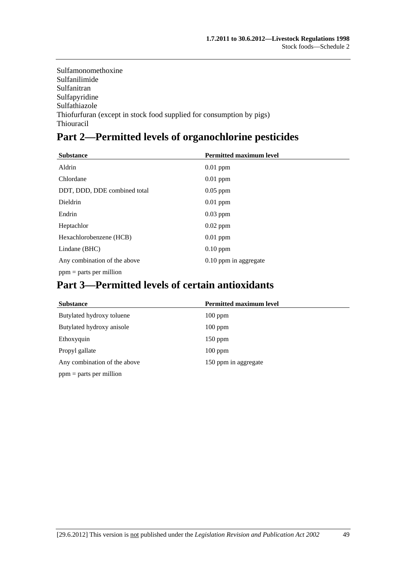Sulfamonomethoxine Sulfanilimide Sulfanitran Sulfapyridine Sulfathiazole Thiofurfuran (except in stock food supplied for consumption by pigs) Thiouracil

# **Part 2—Permitted levels of organochlorine pesticides**

| <b>Substance</b>             | <b>Permitted maximum level</b> |
|------------------------------|--------------------------------|
| Aldrin                       | $0.01$ ppm                     |
| Chlordane                    | $0.01$ ppm                     |
| DDT, DDD, DDE combined total | $0.05$ ppm                     |
| Dieldrin                     | $0.01$ ppm                     |
| Endrin                       | $0.03$ ppm                     |
| Heptachlor                   | $0.02$ ppm                     |
| Hexachlorobenzene (HCB)      | $0.01$ ppm                     |
| Lindane (BHC)                | $0.10$ ppm                     |
| Any combination of the above | 0.10 ppm in aggregate          |
| $ppm =$ parts per million    |                                |

# **Part 3—Permitted levels of certain antioxidants**

| <b>Substance</b>             | <b>Permitted maximum level</b> |
|------------------------------|--------------------------------|
| Butylated hydroxy toluene    | $100$ ppm                      |
| Butylated hydroxy anisole    | $100$ ppm                      |
| Ethoxyquin                   | $150$ ppm                      |
| Propyl gallate               | $100$ ppm                      |
| Any combination of the above | 150 ppm in aggregate           |
| $ppm =$ parts per million    |                                |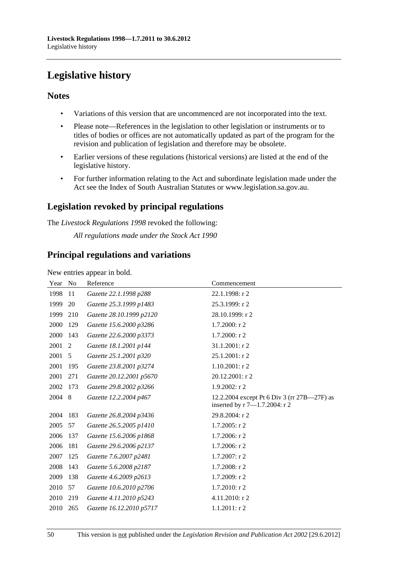# <span id="page-49-0"></span>**Legislative history**

## **Notes**

- Variations of this version that are uncommenced are not incorporated into the text.
- Please note—References in the legislation to other legislation or instruments or to titles of bodies or offices are not automatically updated as part of the program for the revision and publication of legislation and therefore may be obsolete.
- Earlier versions of these regulations (historical versions) are listed at the end of the legislative history.
- For further information relating to the Act and subordinate legislation made under the Act see the Index of South Australian Statutes or www.legislation.sa.gov.au.

## **Legislation revoked by principal regulations**

The *Livestock Regulations 1998* revoked the following:

*All regulations made under the Stock Act 1990*

## **Principal regulations and variations**

New entries appear in bold.

| Year | N <sub>0</sub> | Reference                | Commencement                                                                 |
|------|----------------|--------------------------|------------------------------------------------------------------------------|
| 1998 | 11             | Gazette 22.1.1998 p288   | 22.1.1998: r 2                                                               |
| 1999 | 20             | Gazette 25.3.1999 p1483  | 25.3.1999: r 2                                                               |
| 1999 | 210            | Gazette 28.10.1999 p2120 | 28.10.1999: r 2                                                              |
| 2000 | 129            | Gazette 15.6.2000 p3286  | $1.7.2000:$ r 2                                                              |
| 2000 | 143            | Gazette 22.6.2000 p3373  | 1.7.2000: r 2                                                                |
| 2001 | 2              | Gazette 18.1.2001 p144   | 31.1.2001: r 2                                                               |
| 2001 | 5              | Gazette 25.1.2001 p320   | 25.1.2001: r 2                                                               |
| 2001 | 195            | Gazette 23.8.2001 p3274  | $1.10.2001$ : r 2                                                            |
| 2001 | 271            | Gazette 20.12.2001 p5670 | 20.12.2001: r 2                                                              |
| 2002 | 173            | Gazette 29.8.2002 p3266  | $1.9.2002:$ r2                                                               |
| 2004 | 8              | Gazette 12.2.2004 p467   | 12.2.2004 except Pt 6 Div 3 (rr 27B—27F) as<br>inserted by r 7-1.7.2004: r 2 |
| 2004 | 183            | Gazette 26.8.2004 p3436  | 29.8.2004: r 2                                                               |
| 2005 | 57             | Gazette 26.5.2005 p1410  | 1.7.2005: r 2                                                                |
| 2006 | 137            | Gazette 15.6.2006 p1868  | 1.7.2006: r 2                                                                |
| 2006 | 181            | Gazette 29.6.2006 p2137  | 1.7.2006: r 2                                                                |
| 2007 | 125            | Gazette 7.6.2007 p2481   | 1.7.2007: r 2                                                                |
| 2008 | 143            | Gazette 5.6.2008 p2187   | $1.7.2008:$ r 2                                                              |
| 2009 | 138            | Gazette 4.6.2009 p2613   | 1.7.2009: r 2                                                                |
| 2010 | 57             | Gazette 10.6.2010 p2706  | 1.7.2010: r 2                                                                |
| 2010 | 219            | Gazette 4.11.2010 p5243  | 4.11.2010: r 2                                                               |
| 2010 | 265            | Gazette 16.12.2010 p5717 | $1.1.2011:$ r2                                                               |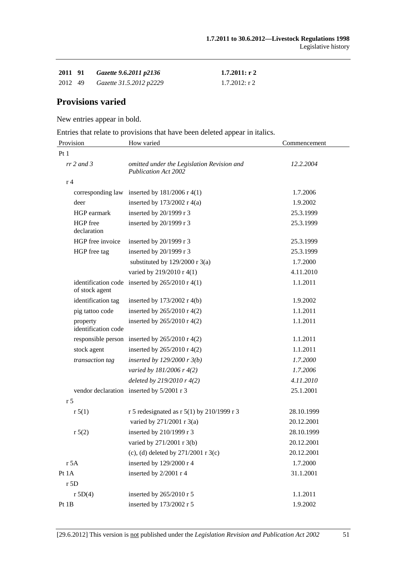| 2011 91 | Gazette 9.6.2011 p2136  | $1.7.2011:$ r 2 |
|---------|-------------------------|-----------------|
| 2012 49 | Gazette 31.5.2012 p2229 | $1.7.2012:$ r 2 |

## **Provisions varied**

New entries appear in bold.

Entries that relate to provisions that have been deleted appear in italics.

| Provision                       | How varied                                                                | Commencement |
|---------------------------------|---------------------------------------------------------------------------|--------------|
| Pt1                             |                                                                           |              |
| $rr$ 2 and 3                    | omitted under the Legislation Revision and<br><b>Publication Act 2002</b> | 12.2.2004    |
| r 4                             |                                                                           |              |
|                                 | corresponding law inserted by $181/2006$ r 4(1)                           | 1.7.2006     |
| deer                            | inserted by $173/2002$ r 4(a)                                             | 1.9.2002     |
| HGP earmark                     | inserted by 20/1999 r 3                                                   | 25.3.1999    |
| HGP free<br>declaration         | inserted by 20/1999 r 3                                                   | 25.3.1999    |
| HGP free invoice                | inserted by 20/1999 r 3                                                   | 25.3.1999    |
| HGP free tag                    | inserted by 20/1999 r 3                                                   | 25.3.1999    |
|                                 | substituted by $129/2000$ r 3(a)                                          | 1.7.2000     |
|                                 | varied by 219/2010 r 4(1)                                                 | 4.11.2010    |
| of stock agent                  | identification code inserted by $265/2010$ r 4(1)                         | 1.1.2011     |
| identification tag              | inserted by $173/2002$ r 4(b)                                             | 1.9.2002     |
| pig tattoo code                 | inserted by 265/2010 r 4(2)                                               | 1.1.2011     |
| property<br>identification code | inserted by 265/2010 r 4(2)                                               | 1.1.2011     |
|                                 | responsible person inserted by $265/2010$ r 4(2)                          | 1.1.2011     |
| stock agent                     | inserted by $265/2010$ r 4(2)                                             | 1.1.2011     |
| transaction tag                 | inserted by $129/2000$ r $3(b)$                                           | 1.7.2000     |
|                                 | varied by 181/2006 r 4(2)                                                 | 1.7.2006     |
|                                 | deleted by $219/2010r$ 4(2)                                               | 4.11.2010    |
|                                 | vendor declaration inserted by 5/2001 r 3                                 | 25.1.2001    |
| r <sub>5</sub>                  |                                                                           |              |
| r 5(1)                          | r 5 redesignated as r 5(1) by 210/1999 r 3                                | 28.10.1999   |
|                                 | varied by 271/2001 r 3(a)                                                 | 20.12.2001   |
| r 5(2)                          | inserted by 210/1999 r 3                                                  | 28.10.1999   |
|                                 | varied by 271/2001 r 3(b)                                                 | 20.12.2001   |
|                                 | (c), (d) deleted by $271/2001$ r 3(c)                                     | 20.12.2001   |
| r 5A                            | inserted by 129/2000 r 4                                                  | 1.7.2000     |
| Pt 1A                           | inserted by 2/2001 r 4                                                    | 31.1.2001    |
| r 5D                            |                                                                           |              |
| r 5D(4)                         | inserted by 265/2010 r 5                                                  | 1.1.2011     |
| Pt 1B                           | inserted by 173/2002 r 5                                                  | 1.9.2002     |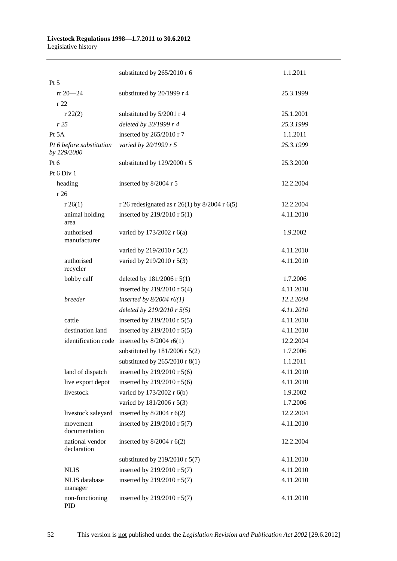#### **Livestock Regulations 1998—1.7.2011 to 30.6.2012**  Legislative history

|                                         | substituted by 265/2010 r 6                   | 1.1.2011  |
|-----------------------------------------|-----------------------------------------------|-----------|
| Pt 5                                    |                                               |           |
| $rr 20 - 24$                            | substituted by 20/1999 r 4                    | 25.3.1999 |
| r 22                                    |                                               |           |
| r 22(2)                                 | substituted by 5/2001 r 4                     | 25.1.2001 |
| r25                                     | deleted by 20/1999 r 4                        | 25.3.1999 |
| Pt 5A                                   | inserted by 265/2010 r 7                      | 1.1.2011  |
| Pt 6 before substitution<br>by 129/2000 | varied by 20/1999 r 5                         | 25.3.1999 |
| Pt $6$                                  | substituted by 129/2000 r 5                   | 25.3.2000 |
| Pt 6 Div 1                              |                                               |           |
| heading                                 | inserted by 8/2004 r 5                        | 12.2.2004 |
| r 26                                    |                                               |           |
| r 26(1)                                 | r 26 redesignated as r 26(1) by 8/2004 r 6(5) | 12.2.2004 |
| animal holding<br>area                  | inserted by 219/2010 r 5(1)                   | 4.11.2010 |
| authorised<br>manufacturer              | varied by 173/2002 r 6(a)                     | 1.9.2002  |
|                                         | varied by 219/2010 r 5(2)                     | 4.11.2010 |
| authorised<br>recycler                  | varied by 219/2010 r 5(3)                     | 4.11.2010 |
| bobby calf                              | deleted by $181/2006$ r $5(1)$                | 1.7.2006  |
|                                         | inserted by 219/2010 r 5(4)                   | 4.11.2010 |
| breeder                                 | inserted by $8/2004$ r6(1)                    | 12.2.2004 |
|                                         | deleted by $219/2010$ r $5(5)$                | 4.11.2010 |
| cattle                                  | inserted by 219/2010 r 5(5)                   | 4.11.2010 |
| destination land                        | inserted by 219/2010 r 5(5)                   | 4.11.2010 |
| identification code                     | inserted by $8/2004$ r6(1)                    | 12.2.2004 |
|                                         | substituted by $181/2006$ r $5(2)$            | 1.7.2006  |
|                                         | substituted by $265/2010$ r 8(1)              | 1.1.2011  |
| land of dispatch                        | inserted by 219/2010 r 5(6)                   | 4.11.2010 |
| live export depot                       | inserted by 219/2010 r 5(6)                   | 4.11.2010 |
| livestock                               | varied by 173/2002 r 6(b)                     | 1.9.2002  |
|                                         | varied by 181/2006 r 5(3)                     | 1.7.2006  |
| livestock saleyard                      | inserted by $8/2004$ r $6(2)$                 | 12.2.2004 |
| movement<br>documentation               | inserted by 219/2010 r 5(7)                   | 4.11.2010 |
| national vendor<br>declaration          | inserted by $8/2004$ r $6(2)$                 | 12.2.2004 |
|                                         | substituted by $219/2010$ r $5(7)$            | 4.11.2010 |
| <b>NLIS</b>                             | inserted by 219/2010 r 5(7)                   | 4.11.2010 |
| <b>NLIS</b> database<br>manager         | inserted by 219/2010 r 5(7)                   | 4.11.2010 |
| non-functioning<br>PID                  | inserted by 219/2010 r 5(7)                   | 4.11.2010 |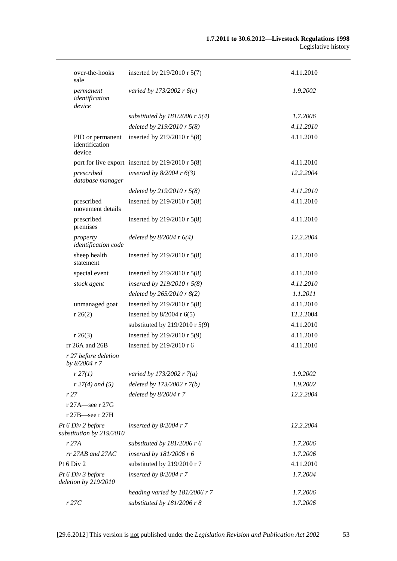| over-the-hooks<br>sale                        | inserted by 219/2010 r 5(7)                          | 4.11.2010 |
|-----------------------------------------------|------------------------------------------------------|-----------|
| permanent<br>identification<br>device         | varied by 173/2002 r $6(c)$                          | 1.9.2002  |
|                                               | substituted by $181/2006$ r $5(4)$                   | 1.7.2006  |
|                                               | deleted by $219/2010$ r $5(8)$                       | 4.11.2010 |
| PID or permanent<br>identification<br>device  | inserted by 219/2010 r 5(8)                          | 4.11.2010 |
|                                               | port for live export inserted by $219/2010$ r $5(8)$ | 4.11.2010 |
| prescribed<br>database manager                | inserted by $8/2004$ r $6(3)$                        | 12.2.2004 |
|                                               | deleted by $219/2010$ r $5(8)$                       | 4.11.2010 |
| prescribed<br>movement details                | inserted by 219/2010 r 5(8)                          | 4.11.2010 |
| prescribed<br>premises                        | inserted by 219/2010 r 5(8)                          | 4.11.2010 |
| property<br>identification code               | deleted by $8/2004$ r $6(4)$                         | 12.2.2004 |
| sheep health<br>statement                     | inserted by 219/2010 r 5(8)                          | 4.11.2010 |
| special event                                 | inserted by 219/2010 r 5(8)                          | 4.11.2010 |
| stock agent                                   | inserted by 219/2010 r $5(8)$                        | 4.11.2010 |
|                                               | deleted by $265/2010$ r $8(2)$                       | 1.1.2011  |
| unmanaged goat                                | inserted by 219/2010 r 5(8)                          | 4.11.2010 |
| r 26(2)                                       | inserted by $8/2004$ r $6(5)$                        | 12.2.2004 |
|                                               | substituted by $219/2010$ r $5(9)$                   | 4.11.2010 |
| r 26(3)                                       | inserted by 219/2010 r 5(9)                          | 4.11.2010 |
| $rr 26A$ and $26B$                            | inserted by 219/2010 r 6                             | 4.11.2010 |
| r 27 before deletion<br>by 8/2004 r 7         |                                                      |           |
| r 27(1)                                       | varied by 173/2002 r $7(a)$                          | 1.9.2002  |
| $r 27(4)$ and (5)                             | deleted by 173/2002 r 7(b)                           | 1.9.2002  |
| r27                                           | deleted by $8/2004$ r 7                              | 12.2.2004 |
| r 27A—see r 27G                               |                                                      |           |
| r 27B-see r 27H                               |                                                      |           |
| Pt 6 Div 2 before<br>substitution by 219/2010 | inserted by $8/2004$ r 7                             | 12.2.2004 |
| r27A                                          | substituted by 181/2006 r 6                          | 1.7.2006  |
| $rr$ 27AB and 27AC                            | inserted by $181/2006$ r 6                           | 1.7.2006  |
| Pt 6 Div 2                                    | substituted by 219/2010 r 7                          | 4.11.2010 |
| Pt 6 Div 3 before<br>deletion by 219/2010     | inserted by $8/2004$ r 7                             | 1.7.2004  |
|                                               | heading varied by 181/2006 r 7                       | 1.7.2006  |
| r27C                                          | substituted by $181/2006$ r 8                        | 1.7.2006  |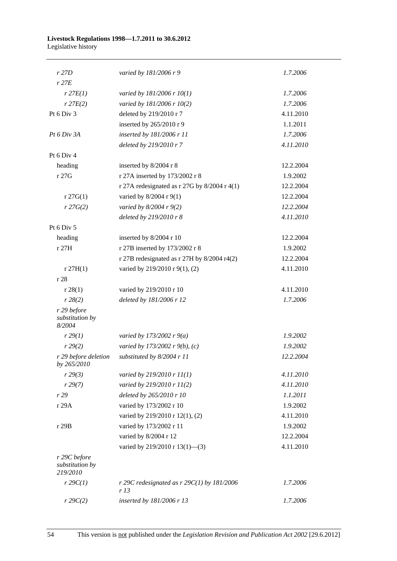#### **Livestock Regulations 1998—1.7.2011 to 30.6.2012**  Legislative history

| r 27D                                       | varied by 181/2006 r 9                              | 1.7.2006  |
|---------------------------------------------|-----------------------------------------------------|-----------|
| $r$ 27 $E$                                  |                                                     |           |
| $r$ 27 $E(1)$                               | varied by $181/2006$ r $10(1)$                      | 1.7.2006  |
| r 27E(2)                                    | varied by 181/2006 r 10(2)                          | 1.7.2006  |
| Pt 6 Div 3                                  | deleted by 219/2010 r 7                             | 4.11.2010 |
|                                             | inserted by 265/2010 r 9                            | 1.1.2011  |
| Pt 6 Div 3A                                 | inserted by 181/2006 r 11                           | 1.7.2006  |
|                                             | deleted by 219/2010 r 7                             | 4.11.2010 |
| Pt 6 Div 4                                  |                                                     |           |
| heading                                     | inserted by 8/2004 r 8                              | 12.2.2004 |
| r 27G                                       | r 27A inserted by 173/2002 r 8                      | 1.9.2002  |
|                                             | r 27A redesignated as r 27G by $8/2004$ r 4(1)      | 12.2.2004 |
| r 27G(1)                                    | varied by 8/2004 r 9(1)                             | 12.2.2004 |
| r 27G(2)                                    | varied by $8/2004$ r $9(2)$                         | 12.2.2004 |
|                                             | deleted by 219/2010 r 8                             | 4.11.2010 |
| Pt 6 Div 5                                  |                                                     |           |
| heading                                     | inserted by 8/2004 r 10                             | 12.2.2004 |
| r 27H                                       | r 27B inserted by 173/2002 r 8                      | 1.9.2002  |
|                                             | r 27B redesignated as r 27H by 8/2004 r4(2)         | 12.2.2004 |
| r 27H(1)                                    | varied by 219/2010 r 9(1), (2)                      | 4.11.2010 |
| r 28                                        |                                                     |           |
| r 28(1)                                     | varied by 219/2010 r 10                             | 4.11.2010 |
| r 28(2)                                     | deleted by 181/2006 r 12                            | 1.7.2006  |
| r 29 before<br>substitution by<br>8/2004    |                                                     |           |
| r 29(1)                                     | varied by 173/2002 r $9(a)$                         | 1.9.2002  |
| r 29(2)                                     | varied by 173/2002 r 9(b), (c)                      | 1.9.2002  |
| r 29 before deletion<br>by 265/2010         | substituted by 8/2004 r 11                          | 12.2.2004 |
| r 29(3)                                     | varied by 219/2010 r 11(1)                          | 4.11.2010 |
| r 29(7)                                     | varied by 219/2010 r 11(2)                          | 4.11.2010 |
| r29                                         | deleted by 265/2010 r 10                            | 1.1.2011  |
| r 29A                                       | varied by 173/2002 r 10                             | 1.9.2002  |
|                                             | varied by 219/2010 r 12(1), (2)                     | 4.11.2010 |
| r 29B                                       | varied by 173/2002 r 11                             | 1.9.2002  |
|                                             | varied by 8/2004 r 12                               | 12.2.2004 |
|                                             | varied by 219/2010 r 13(1)-(3)                      | 4.11.2010 |
| r 29C before<br>substitution by<br>219/2010 |                                                     |           |
| $r$ 29 $C(1)$                               | r 29C redesignated as $r$ 29C(1) by 181/2006<br>r13 | 1.7.2006  |
| $r \, 29C(2)$                               | inserted by 181/2006 r 13                           | 1.7.2006  |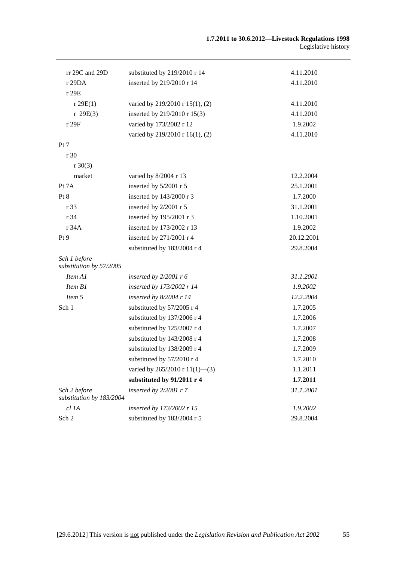| rr 29C and 29D                           | substituted by 219/2010 r 14               | 4.11.2010  |
|------------------------------------------|--------------------------------------------|------------|
| r 29DA                                   | inserted by 219/2010 r 14                  | 4.11.2010  |
| r 29E                                    |                                            |            |
| r 29E(1)                                 | varied by 219/2010 r 15(1), (2)            | 4.11.2010  |
| r 29E(3)                                 | inserted by 219/2010 r 15(3)               | 4.11.2010  |
| r 29F                                    | varied by 173/2002 r 12                    | 1.9.2002   |
|                                          | varied by 219/2010 r 16(1), (2)            | 4.11.2010  |
| Pt 7                                     |                                            |            |
| r 30                                     |                                            |            |
| $r \ 30(3)$                              |                                            |            |
| market                                   | varied by 8/2004 r 13                      | 12.2.2004  |
| Pt 7A                                    | inserted by 5/2001 r 5                     | 25.1.2001  |
| Pt 8                                     | inserted by 143/2000 r 3                   | 1.7.2000   |
| r 33                                     | inserted by 2/2001 r 5                     | 31.1.2001  |
| r 34                                     | inserted by 195/2001 r 3                   | 1.10.2001  |
| r 34A                                    | inserted by 173/2002 r 13                  | 1.9.2002   |
| Pt 9                                     | inserted by 271/2001 r 4                   | 20.12.2001 |
|                                          | substituted by 183/2004 r 4                | 29.8.2004  |
| Sch 1 before<br>substitution by 57/2005  |                                            |            |
| Item A1                                  | inserted by $2/2001$ r 6                   | 31.1.2001  |
| Item B1                                  | inserted by 173/2002 r 14                  | 1.9.2002   |
| Item 5                                   | inserted by $8/2004$ r 14                  | 12.2.2004  |
| Sch 1                                    | substituted by 57/2005 r 4                 | 1.7.2005   |
|                                          | substituted by 137/2006 r 4                | 1.7.2006   |
|                                          | substituted by 125/2007 r 4                | 1.7.2007   |
|                                          | substituted by 143/2008 r 4                | 1.7.2008   |
|                                          | substituted by 138/2009 r 4                | 1.7.2009   |
|                                          | substituted by 57/2010 r 4                 | 1.7.2010   |
|                                          | varied by $265/2010 \text{ r } 11(1)$ —(3) | 1.1.2011   |
|                                          | substituted by 91/2011 r 4                 | 1.7.2011   |
| Sch 2 before<br>substitution by 183/2004 | inserted by $2/2001$ r 7                   | 31.1.2001  |
| cl 1A                                    | inserted by 173/2002 r 15                  | 1.9.2002   |
| Sch 2                                    | substituted by 183/2004 r 5                | 29.8.2004  |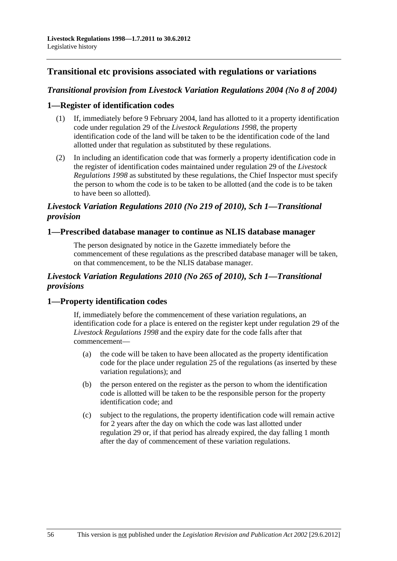## **Transitional etc provisions associated with regulations or variations**

## *Transitional provision from Livestock Variation Regulations 2004 (No 8 of 2004)*

### **1—Register of identification codes**

- (1) If, immediately before 9 February 2004, land has allotted to it a property identification code under regulation 29 of the *[Livestock Regulations 1998](http://www.legislation.sa.gov.au/index.aspx?action=legref&type=act&legtitle=Livestock%20Regulations%201998)*, the property identification code of the land will be taken to be the identification code of the land allotted under that regulation as substituted by these regulations.
- (2) In including an identification code that was formerly a property identification code in the register of identification codes maintained under regulation 29 of the *[Livestock](http://www.legislation.sa.gov.au/index.aspx?action=legref&type=act&legtitle=Livestock%20Regulations%201998)  [Regulations 1998](http://www.legislation.sa.gov.au/index.aspx?action=legref&type=act&legtitle=Livestock%20Regulations%201998)* as substituted by these regulations, the Chief Inspector must specify the person to whom the code is to be taken to be allotted (and the code is to be taken to have been so allotted).

## *Livestock Variation Regulations 2010 (No 219 of 2010), Sch 1—Transitional provision*

#### **1—Prescribed database manager to continue as NLIS database manager**

The person designated by notice in the Gazette immediately before the commencement of these regulations as the prescribed database manager will be taken, on that commencement, to be the NLIS database manager.

## *Livestock Variation Regulations 2010 (No 265 of 2010), Sch 1—Transitional provisions*

## **1—Property identification codes**

If, immediately before the commencement of these variation regulations, an identification code for a place is entered on the register kept under regulation 29 of the *[Livestock Regulations 1998](http://www.legislation.sa.gov.au/index.aspx?action=legref&type=subordleg&legtitle=Livestock%20Regulations%201998)* and the expiry date for the code falls after that commencement—

- (a) the code will be taken to have been allocated as the property identification code for the place under regulation 25 of the regulations (as inserted by these variation regulations); and
- (b) the person entered on the register as the person to whom the identification code is allotted will be taken to be the responsible person for the property identification code; and
- (c) subject to the regulations, the property identification code will remain active for 2 years after the day on which the code was last allotted under regulation 29 or, if that period has already expired, the day falling 1 month after the day of commencement of these variation regulations.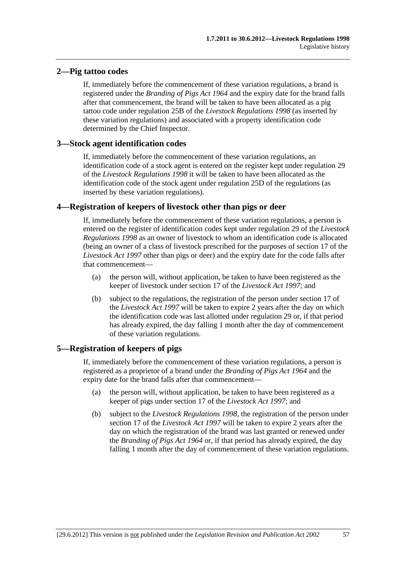## **2—Pig tattoo codes**

If, immediately before the commencement of these variation regulations, a brand is registered under the *[Branding of Pigs Act 1964](http://www.legislation.sa.gov.au/index.aspx?action=legref&type=act&legtitle=Branding%20of%20Pigs%20Act%201964)* and the expiry date for the brand falls after that commencement, the brand will be taken to have been allocated as a pig tattoo code under regulation 25B of the *[Livestock Regulations 1998](http://www.legislation.sa.gov.au/index.aspx?action=legref&type=subordleg&legtitle=Livestock%20Regulations%201998)* (as inserted by these variation regulations) and associated with a property identification code determined by the Chief Inspector.

## **3—Stock agent identification codes**

If, immediately before the commencement of these variation regulations, an identification code of a stock agent is entered on the register kept under regulation 29 of the *[Livestock Regulations 1998](http://www.legislation.sa.gov.au/index.aspx?action=legref&type=subordleg&legtitle=Livestock%20Regulations%201998)* it will be taken to have been allocated as the identification code of the stock agent under regulation 25D of the regulations (as inserted by these variation regulations).

## **4—Registration of keepers of livestock other than pigs or deer**

If, immediately before the commencement of these variation regulations, a person is entered on the register of identification codes kept under regulation 29 of the *[Livestock](http://www.legislation.sa.gov.au/index.aspx?action=legref&type=subordleg&legtitle=Livestock%20Regulations%201998)  [Regulations 1998](http://www.legislation.sa.gov.au/index.aspx?action=legref&type=subordleg&legtitle=Livestock%20Regulations%201998)* as an owner of livestock to whom an identification code is allocated (being an owner of a class of livestock prescribed for the purposes of section 17 of the *[Livestock Act 1997](http://www.legislation.sa.gov.au/index.aspx?action=legref&type=act&legtitle=Livestock%20Act%201997)* other than pigs or deer) and the expiry date for the code falls after that commencement—

- (a) the person will, without application, be taken to have been registered as the keeper of livestock under section 17 of the *[Livestock Act 1997](http://www.legislation.sa.gov.au/index.aspx?action=legref&type=act&legtitle=Livestock%20Act%201997)*; and
- (b) subject to the regulations, the registration of the person under section 17 of the *[Livestock Act 1997](http://www.legislation.sa.gov.au/index.aspx?action=legref&type=act&legtitle=Livestock%20Act%201997)* will be taken to expire 2 years after the day on which the identification code was last allotted under regulation 29 or, if that period has already expired, the day falling 1 month after the day of commencement of these variation regulations.

## **5—Registration of keepers of pigs**

If, immediately before the commencement of these variation regulations, a person is registered as a proprietor of a brand under the *[Branding of Pigs Act 1964](http://www.legislation.sa.gov.au/index.aspx?action=legref&type=act&legtitle=Branding%20of%20Pigs%20Act%201964)* and the expiry date for the brand falls after that commencement—

- (a) the person will, without application, be taken to have been registered as a keeper of pigs under section 17 of the *[Livestock Act 1997](http://www.legislation.sa.gov.au/index.aspx?action=legref&type=act&legtitle=Livestock%20Act%201997)*; and
- (b) subject to the *[Livestock Regulations 1998](http://www.legislation.sa.gov.au/index.aspx?action=legref&type=subordleg&legtitle=Livestock%20Regulations%201998)*, the registration of the person under section 17 of the *[Livestock Act 1997](http://www.legislation.sa.gov.au/index.aspx?action=legref&type=act&legtitle=Livestock%20Act%201997)* will be taken to expire 2 years after the day on which the registration of the brand was last granted or renewed under the *[Branding of Pigs Act 1964](http://www.legislation.sa.gov.au/index.aspx?action=legref&type=act&legtitle=Branding%20of%20Pigs%20Act%201964)* or, if that period has already expired, the day falling 1 month after the day of commencement of these variation regulations.